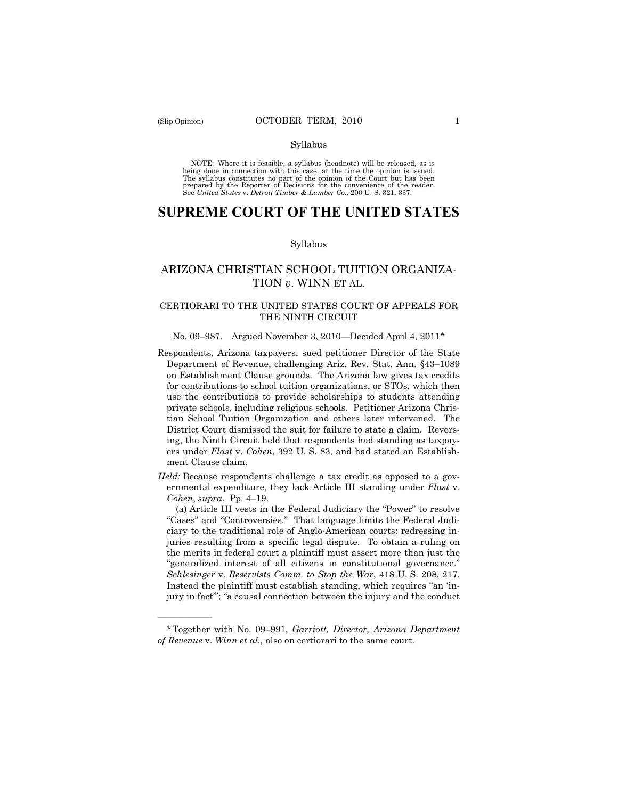——————

#### Syllabus

NOTE: Where it is feasible, a syllabus (headnote) will be released, as is being done in connection with this case, at the time the opinion is issued. The syllabus constitutes no part of the opinion of the Court but has been<br>prepared by the Reporter of Decisions for the convenience of the reader.<br>See United States v. Detroit Timber & Lumber Co., 200 U. S. 321, 337.

# **SUPREME COURT OF THE UNITED STATES**

#### Syllabus

# ARIZONA CHRISTIAN SCHOOL TUITION ORGANIZA-TION *v*. WINN ET AL.

## CERTIORARI TO THE UNITED STATES COURT OF APPEALS FOR THE NINTH CIRCUIT

## No. 09–987. Argued November 3, 2010—Decided April 4, 2011\*

Respondents, Arizona taxpayers, sued petitioner Director of the State Department of Revenue, challenging Ariz. Rev. Stat. Ann. §43–1089 on Establishment Clause grounds. The Arizona law gives tax credits for contributions to school tuition organizations, or STOs, which then use the contributions to provide scholarships to students attending private schools, including religious schools. Petitioner Arizona Christian School Tuition Organization and others later intervened. The District Court dismissed the suit for failure to state a claim. Reversing, the Ninth Circuit held that respondents had standing as taxpayers under *Flast* v. *Cohen*, 392 U. S. 83, and had stated an Establishment Clause claim.

*Held:* Because respondents challenge a tax credit as opposed to a governmental expenditure, they lack Article III standing under *Flast* v. *Cohen*, *supra*. Pp. 4–19.

(a) Article III vests in the Federal Judiciary the "Power" to resolve "Cases" and "Controversies." That language limits the Federal Judiciary to the traditional role of Anglo-American courts: redressing injuries resulting from a specific legal dispute. To obtain a ruling on the merits in federal court a plaintiff must assert more than just the "generalized interest of all citizens in constitutional governance." *Schlesinger* v. *Reservists Comm. to Stop the War*, 418 U. S. 208, 217. Instead the plaintiff must establish standing, which requires "an 'injury in fact'"; "a causal connection between the injury and the conduct

<sup>\*</sup>Together with No. 09–991, *Garriott, Director, Arizona Department of Revenue* v. *Winn et al.,* also on certiorari to the same court.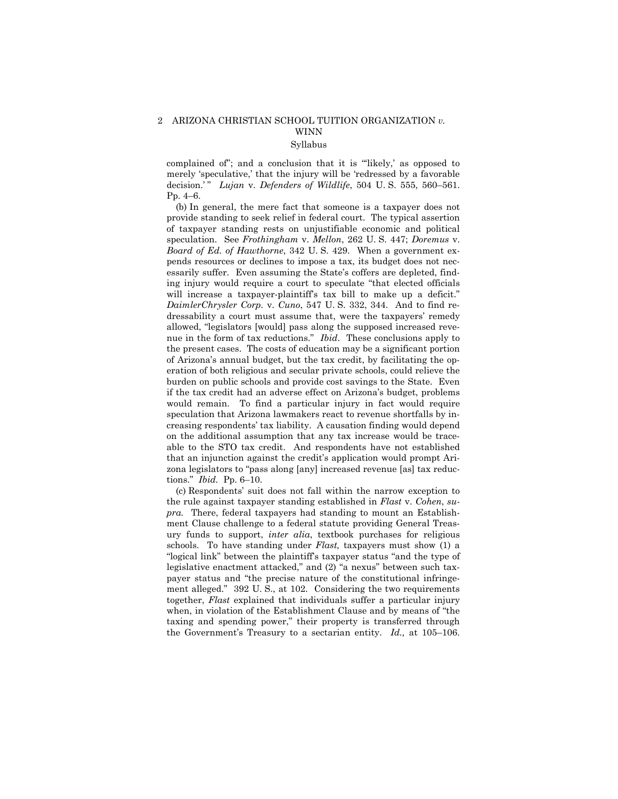complained of"; and a conclusion that it is "'likely,' as opposed to merely 'speculative,' that the injury will be 'redressed by a favorable decision.'" Lujan v. Defenders of Wildlife, 504 U.S. 555, 560-561. Pp. 4–6.

(b) In general, the mere fact that someone is a taxpayer does not provide standing to seek relief in federal court. The typical assertion of taxpayer standing rests on unjustifiable economic and political speculation. See *Frothingham* v. *Mellon*, 262 U. S. 447; *Doremus* v. *Board of Ed. of Hawthorne*, 342 U. S. 429. When a government expends resources or declines to impose a tax, its budget does not necessarily suffer. Even assuming the State's coffers are depleted, finding injury would require a court to speculate "that elected officials will increase a taxpayer-plaintiff's tax bill to make up a deficit." *DaimlerChrysler Corp.* v. *Cuno*, 547 U. S. 332, 344. And to find redressability a court must assume that, were the taxpayers' remedy allowed, "legislators [would] pass along the supposed increased revenue in the form of tax reductions." *Ibid*. These conclusions apply to the present cases. The costs of education may be a significant portion of Arizona's annual budget, but the tax credit, by facilitating the operation of both religious and secular private schools, could relieve the burden on public schools and provide cost savings to the State. Even if the tax credit had an adverse effect on Arizona's budget, problems would remain. To find a particular injury in fact would require speculation that Arizona lawmakers react to revenue shortfalls by increasing respondents' tax liability. A causation finding would depend on the additional assumption that any tax increase would be traceable to the STO tax credit. And respondents have not established that an injunction against the credit's application would prompt Arizona legislators to "pass along [any] increased revenue [as] tax reductions." *Ibid.* Pp. 6–10.

(c) Respondents' suit does not fall within the narrow exception to the rule against taxpayer standing established in *Flast* v. *Cohen*, *supra.* There, federal taxpayers had standing to mount an Establishment Clause challenge to a federal statute providing General Treasury funds to support, *inter alia*, textbook purchases for religious schools. To have standing under *Flast,* taxpayers must show (1) a "logical link" between the plaintiff's taxpayer status "and the type of legislative enactment attacked," and (2) "a nexus" between such taxpayer status and "the precise nature of the constitutional infringement alleged." 392 U. S., at 102. Considering the two requirements together, *Flast* explained that individuals suffer a particular injury when, in violation of the Establishment Clause and by means of "the taxing and spending power," their property is transferred through the Government's Treasury to a sectarian entity. *Id.,* at 105–106.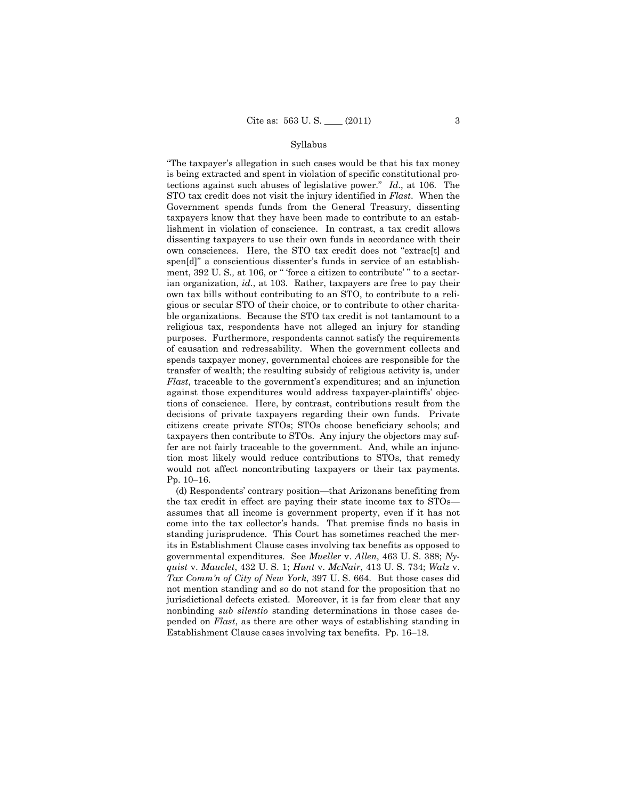#### Syllabus

"The taxpayer's allegation in such cases would be that his tax money is being extracted and spent in violation of specific constitutional protections against such abuses of legislative power." *Id*., at 106. The STO tax credit does not visit the injury identified in *Flast*. When the Government spends funds from the General Treasury, dissenting taxpayers know that they have been made to contribute to an establishment in violation of conscience. In contrast, a tax credit allows dissenting taxpayers to use their own funds in accordance with their own consciences. Here, the STO tax credit does not "extrac[t] and spen[d]" a conscientious dissenter's funds in service of an establishment, 392 U. S*.,* at 106, or " 'force a citizen to contribute' " to a sectarian organization, *id.*, at 103. Rather, taxpayers are free to pay their own tax bills without contributing to an STO, to contribute to a religious or secular STO of their choice, or to contribute to other charitable organizations. Because the STO tax credit is not tantamount to a religious tax, respondents have not alleged an injury for standing purposes. Furthermore, respondents cannot satisfy the requirements of causation and redressability. When the government collects and spends taxpayer money, governmental choices are responsible for the transfer of wealth; the resulting subsidy of religious activity is, under *Flast*, traceable to the government's expenditures; and an injunction against those expenditures would address taxpayer-plaintiffs' objections of conscience. Here, by contrast, contributions result from the decisions of private taxpayers regarding their own funds. Private citizens create private STOs; STOs choose beneficiary schools; and taxpayers then contribute to STOs. Any injury the objectors may suffer are not fairly traceable to the government. And, while an injunction most likely would reduce contributions to STOs, that remedy would not affect noncontributing taxpayers or their tax payments. Pp. 10–16.

(d) Respondents' contrary position—that Arizonans benefiting from the tax credit in effect are paying their state income tax to STOs assumes that all income is government property, even if it has not come into the tax collector's hands. That premise finds no basis in standing jurisprudence. This Court has sometimes reached the merits in Establishment Clause cases involving tax benefits as opposed to governmental expenditures. See *Mueller* v. *Allen*, 463 U. S. 388; *Nyquist* v. *Mauclet*, 432 U. S. 1; *Hunt* v. *McNair*, 413 U. S. 734; *Walz* v. *Tax Comm'n of City of New York*, 397 U. S. 664. But those cases did not mention standing and so do not stand for the proposition that no jurisdictional defects existed. Moreover, it is far from clear that any nonbinding *sub silentio* standing determinations in those cases depended on *Flast*, as there are other ways of establishing standing in Establishment Clause cases involving tax benefits. Pp. 16–18.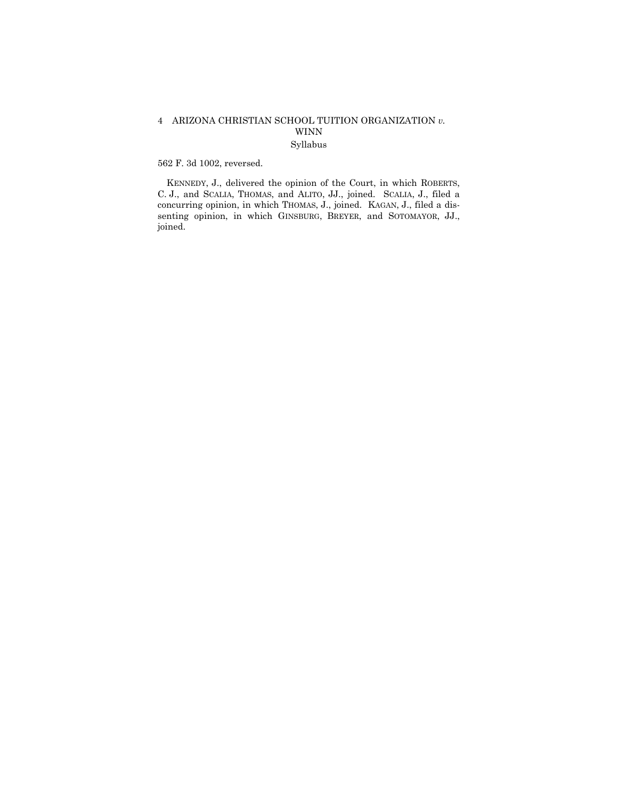562 F. 3d 1002, reversed.

KENNEDY, J., delivered the opinion of the Court, in which ROBERTS, C. J., and SCALIA, THOMAS, and ALITO, JJ., joined. SCALIA, J., filed a concurring opinion, in which THOMAS, J., joined. KAGAN, J., filed a dissenting opinion, in which GINSBURG, BREYER, and SOTOMAYOR, JJ., joined.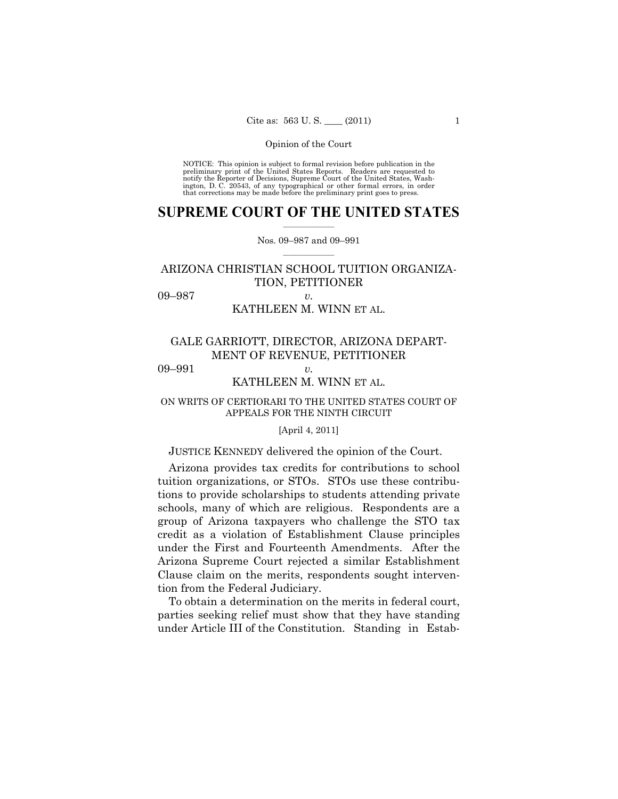NOTICE: This opinion is subject to formal revision before publication in the preliminary print of the United States Reports. Readers are requested to notify the Reporter of Decisions, Supreme Court of the United States, Washington, D. C. 20543, of any typographical or other formal errors, in order that corrections may be made before the preliminary print goes to press.

#### $\frac{1}{2}$  , where  $\frac{1}{2}$ **SUPREME COURT OF THE UNITED STATES**

 $\frac{1}{2}$  ,  $\frac{1}{2}$  ,  $\frac{1}{2}$  ,  $\frac{1}{2}$  ,  $\frac{1}{2}$  ,  $\frac{1}{2}$ Nos. 09–987 and 09–991

# ARIZONA CHRISTIAN SCHOOL TUITION ORGANIZA-TION, PETITIONER

09–987 *v.* 

# KATHLEEN M. WINN ET AL.

## GALE GARRIOTT, DIRECTOR, ARIZONA DEPART-MENT OF REVENUE, PETITIONER

09–991 *v.* 

# KATHLEEN M. WINN ET AL.

### ON WRITS OF CERTIORARI TO THE UNITED STATES COURT OF APPEALS FOR THE NINTH CIRCUIT

#### [April 4, 2011]

## JUSTICE KENNEDY delivered the opinion of the Court.

Arizona provides tax credits for contributions to school tuition organizations, or STOs. STOs use these contributions to provide scholarships to students attending private schools, many of which are religious. Respondents are a group of Arizona taxpayers who challenge the STO tax credit as a violation of Establishment Clause principles under the First and Fourteenth Amendments. After the Arizona Supreme Court rejected a similar Establishment Clause claim on the merits, respondents sought intervention from the Federal Judiciary.

To obtain a determination on the merits in federal court, parties seeking relief must show that they have standing under Article III of the Constitution. Standing in Estab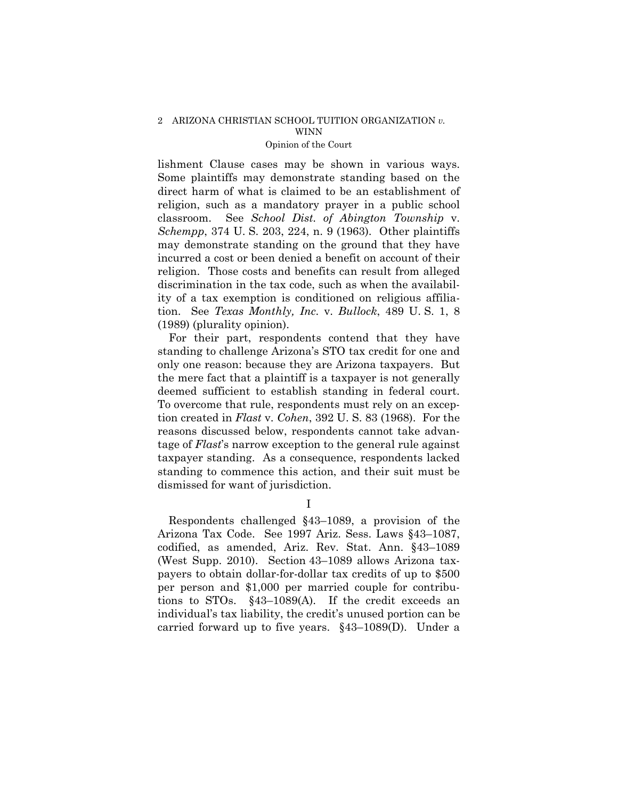# Opinion of the Court

lishment Clause cases may be shown in various ways. Some plaintiffs may demonstrate standing based on the direct harm of what is claimed to be an establishment of religion, such as a mandatory prayer in a public school classroom. See *School Dist. of Abington Township* v. *Schempp*, 374 U. S. 203, 224, n. 9 (1963). Other plaintiffs may demonstrate standing on the ground that they have incurred a cost or been denied a benefit on account of their religion. Those costs and benefits can result from alleged discrimination in the tax code, such as when the availability of a tax exemption is conditioned on religious affiliation. See *Texas Monthly, Inc.* v. *Bullock*, 489 U. S. 1, 8 (1989) (plurality opinion).

For their part, respondents contend that they have standing to challenge Arizona's STO tax credit for one and only one reason: because they are Arizona taxpayers. But the mere fact that a plaintiff is a taxpayer is not generally deemed sufficient to establish standing in federal court. To overcome that rule, respondents must rely on an exception created in *Flast* v. *Cohen*, 392 U. S. 83 (1968). For the reasons discussed below, respondents cannot take advantage of *Flast*'s narrow exception to the general rule against taxpayer standing. As a consequence, respondents lacked standing to commence this action, and their suit must be dismissed for want of jurisdiction.

I

Respondents challenged §43–1089, a provision of the Arizona Tax Code. See 1997 Ariz. Sess. Laws §43–1087, codified, as amended, Ariz. Rev. Stat. Ann. §43–1089 (West Supp. 2010). Section 43–1089 allows Arizona taxpayers to obtain dollar-for-dollar tax credits of up to \$500 per person and \$1,000 per married couple for contributions to STOs. §43–1089(A). If the credit exceeds an individual's tax liability, the credit's unused portion can be carried forward up to five years. §43–1089(D). Under a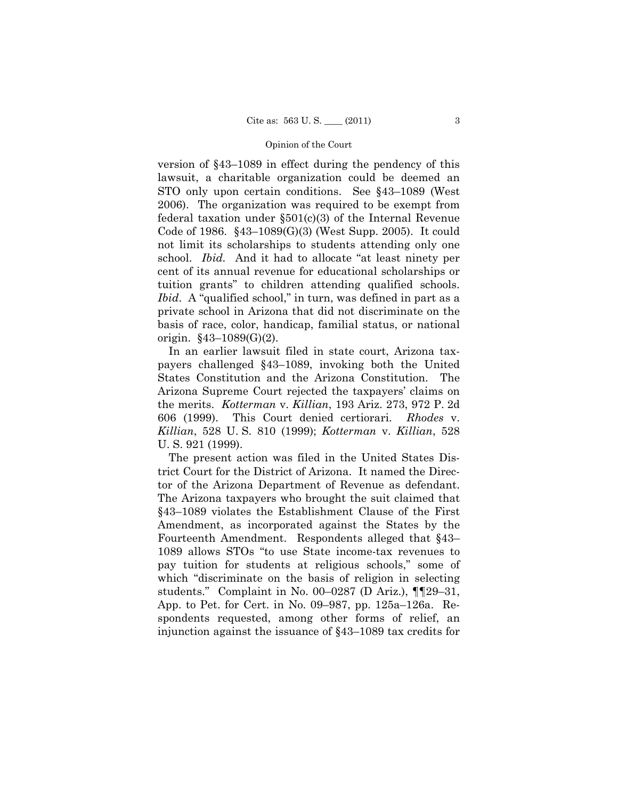version of §43–1089 in effect during the pendency of this lawsuit, a charitable organization could be deemed an STO only upon certain conditions. See §43–1089 (West 2006). The organization was required to be exempt from federal taxation under §501(c)(3) of the Internal Revenue Code of 1986. §43–1089(G)(3) (West Supp. 2005). It could not limit its scholarships to students attending only one school. *Ibid.* And it had to allocate "at least ninety per cent of its annual revenue for educational scholarships or tuition grants" to children attending qualified schools. *Ibid*. A "qualified school," in turn, was defined in part as a private school in Arizona that did not discriminate on the basis of race, color, handicap, familial status, or national origin. §43–1089(G)(2).

In an earlier lawsuit filed in state court, Arizona taxpayers challenged §43–1089, invoking both the United States Constitution and the Arizona Constitution. The Arizona Supreme Court rejected the taxpayers' claims on the merits. *Kotterman* v. *Killian*, 193 Ariz. 273, 972 P. 2d 606 (1999). This Court denied certiorari. *Rhodes* v. *Killian*, 528 U. S. 810 (1999); *Kotterman* v. *Killian*, 528 U. S. 921 (1999).

The present action was filed in the United States District Court for the District of Arizona. It named the Director of the Arizona Department of Revenue as defendant. The Arizona taxpayers who brought the suit claimed that §43–1089 violates the Establishment Clause of the First Amendment, as incorporated against the States by the Fourteenth Amendment. Respondents alleged that §43– 1089 allows STOs "to use State income-tax revenues to pay tuition for students at religious schools," some of which "discriminate on the basis of religion in selecting students." Complaint in No. 00–0287 (D Ariz.),  $\P$ [29–31, App. to Pet. for Cert. in No. 09–987, pp. 125a–126a. Respondents requested, among other forms of relief, an injunction against the issuance of §43–1089 tax credits for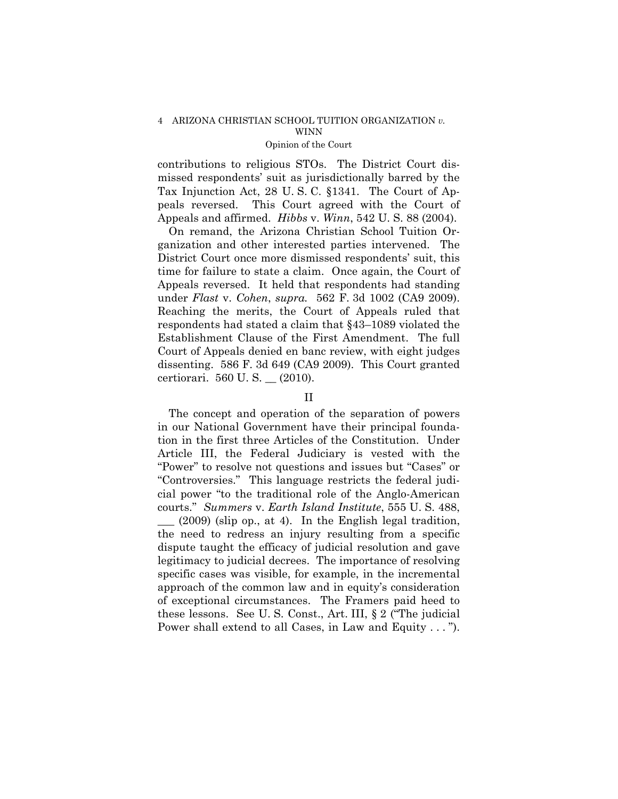# Opinion of the Court

contributions to religious STOs. The District Court dismissed respondents' suit as jurisdictionally barred by the Tax Injunction Act, 28 U. S. C. §1341. The Court of Appeals reversed. This Court agreed with the Court of Appeals and affirmed. *Hibbs* v. *Winn*, 542 U. S. 88 (2004).

On remand, the Arizona Christian School Tuition Organization and other interested parties intervened. The District Court once more dismissed respondents' suit, this time for failure to state a claim. Once again, the Court of Appeals reversed. It held that respondents had standing under *Flast* v. *Cohen*, *supra.* 562 F. 3d 1002 (CA9 2009). Reaching the merits, the Court of Appeals ruled that respondents had stated a claim that §43–1089 violated the Establishment Clause of the First Amendment. The full Court of Appeals denied en banc review, with eight judges dissenting. 586 F. 3d 649 (CA9 2009). This Court granted certiorari. 560 U. S. \_\_ (2010).

II

The concept and operation of the separation of powers in our National Government have their principal foundation in the first three Articles of the Constitution. Under Article III, the Federal Judiciary is vested with the "Power" to resolve not questions and issues but "Cases" or "Controversies." This language restricts the federal judicial power "to the traditional role of the Anglo-American courts." *Summers* v. *Earth Island Institute*, 555 U. S. 488, \_\_\_ (2009) (slip op., at 4). In the English legal tradition, the need to redress an injury resulting from a specific dispute taught the efficacy of judicial resolution and gave legitimacy to judicial decrees. The importance of resolving specific cases was visible, for example, in the incremental approach of the common law and in equity's consideration of exceptional circumstances. The Framers paid heed to these lessons. See U. S. Const., Art. III, § 2 ("The judicial Power shall extend to all Cases, in Law and Equity . . . ").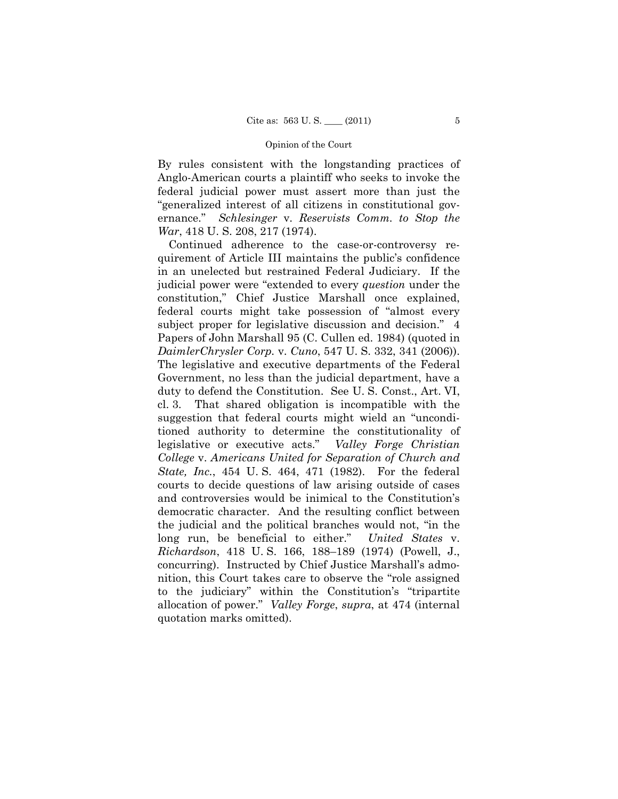By rules consistent with the longstanding practices of Anglo-American courts a plaintiff who seeks to invoke the federal judicial power must assert more than just the "generalized interest of all citizens in constitutional governance." *Schlesinger* v. *Reservists Comm. to Stop the War*, 418 U. S. 208, 217 (1974).

Continued adherence to the case-or-controversy requirement of Article III maintains the public's confidence in an unelected but restrained Federal Judiciary. If the judicial power were "extended to every *question* under the constitution," Chief Justice Marshall once explained, federal courts might take possession of "almost every subject proper for legislative discussion and decision." 4 Papers of John Marshall 95 (C. Cullen ed. 1984) (quoted in *DaimlerChrysler Corp.* v. *Cuno*, 547 U. S. 332, 341 (2006)). The legislative and executive departments of the Federal Government, no less than the judicial department, have a duty to defend the Constitution. See U. S. Const., Art. VI, cl. 3. That shared obligation is incompatible with the suggestion that federal courts might wield an "unconditioned authority to determine the constitutionality of legislative or executive acts." *Valley Forge Christian College* v. *Americans United for Separation of Church and State, Inc.*, 454 U. S. 464, 471 (1982). For the federal courts to decide questions of law arising outside of cases and controversies would be inimical to the Constitution's democratic character. And the resulting conflict between the judicial and the political branches would not, "in the long run, be beneficial to either." *United States* v. *Richardson*, 418 U. S. 166, 188–189 (1974) (Powell, J., concurring). Instructed by Chief Justice Marshall's admonition, this Court takes care to observe the "role assigned to the judiciary" within the Constitution's "tripartite allocation of power." *Valley Forge*, *supra*, at 474 (internal quotation marks omitted).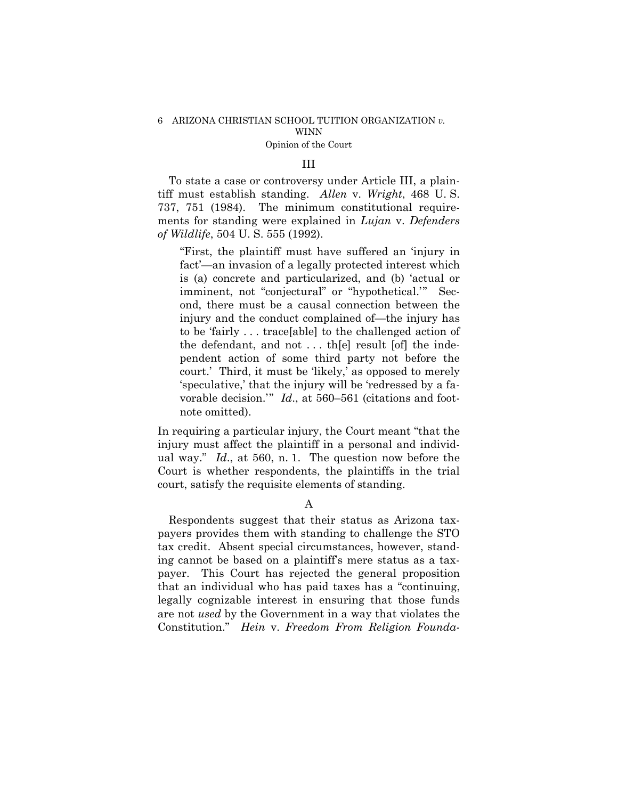# Opinion of the Court

#### III

To state a case or controversy under Article III, a plaintiff must establish standing. *Allen* v. *Wright*, 468 U. S. 737, 751 (1984). The minimum constitutional requirements for standing were explained in *Lujan* v. *Defenders of Wildlife*, 504 U. S. 555 (1992).

"First, the plaintiff must have suffered an 'injury in fact'—an invasion of a legally protected interest which is (a) concrete and particularized, and (b) 'actual or imminent, not "conjectural" or "hypothetical.'" Second, there must be a causal connection between the injury and the conduct complained of—the injury has to be 'fairly . . . trace[able] to the challenged action of the defendant, and not . . . th[e] result [of] the independent action of some third party not before the court.' Third, it must be 'likely,' as opposed to merely 'speculative,' that the injury will be 'redressed by a favorable decision.'" *Id*., at 560–561 (citations and footnote omitted).

In requiring a particular injury, the Court meant "that the injury must affect the plaintiff in a personal and individual way." *Id*., at 560, n. 1. The question now before the Court is whether respondents, the plaintiffs in the trial court, satisfy the requisite elements of standing.

# A

Respondents suggest that their status as Arizona taxpayers provides them with standing to challenge the STO tax credit. Absent special circumstances, however, standing cannot be based on a plaintiff's mere status as a taxpayer. This Court has rejected the general proposition that an individual who has paid taxes has a "continuing, legally cognizable interest in ensuring that those funds are not *used* by the Government in a way that violates the Constitution." *Hein* v. *Freedom From Religion Founda-*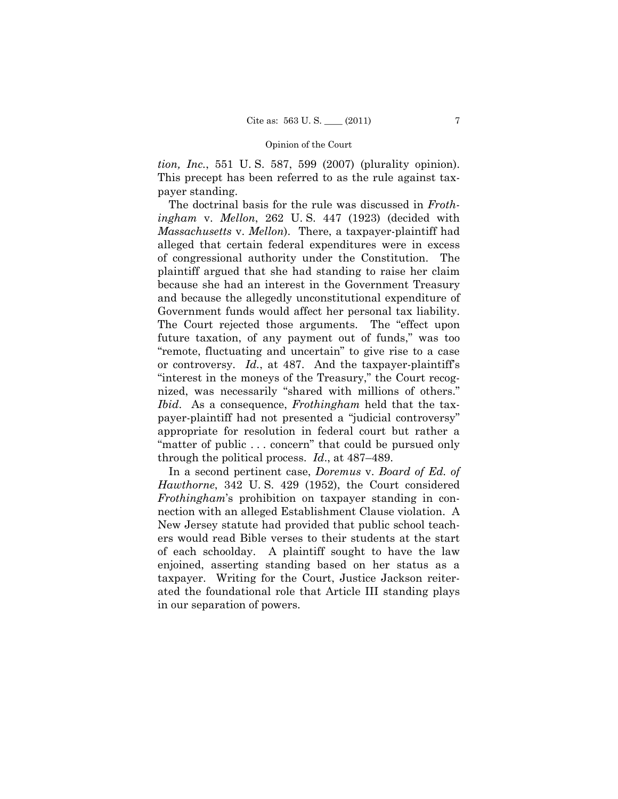*tion, Inc.*, 551 U. S. 587, 599 (2007) (plurality opinion). This precept has been referred to as the rule against taxpayer standing.

The doctrinal basis for the rule was discussed in *Frothingham* v. *Mellon*, 262 U. S. 447 (1923) (decided with *Massachusetts* v. *Mellon*). There, a taxpayer-plaintiff had alleged that certain federal expenditures were in excess of congressional authority under the Constitution. The plaintiff argued that she had standing to raise her claim because she had an interest in the Government Treasury and because the allegedly unconstitutional expenditure of Government funds would affect her personal tax liability. The Court rejected those arguments. The "effect upon future taxation, of any payment out of funds," was too "remote, fluctuating and uncertain" to give rise to a case or controversy. *Id.*, at 487. And the taxpayer-plaintiff's "interest in the moneys of the Treasury," the Court recognized, was necessarily "shared with millions of others." *Ibid*. As a consequence, *Frothingham* held that the taxpayer-plaintiff had not presented a "judicial controversy" appropriate for resolution in federal court but rather a "matter of public . . . concern" that could be pursued only through the political process. *Id*., at 487–489.

In a second pertinent case, *Doremus* v. *Board of Ed. of Hawthorne*, 342 U. S. 429 (1952), the Court considered *Frothingham*'s prohibition on taxpayer standing in connection with an alleged Establishment Clause violation. A New Jersey statute had provided that public school teachers would read Bible verses to their students at the start of each schoolday. A plaintiff sought to have the law enjoined, asserting standing based on her status as a taxpayer. Writing for the Court, Justice Jackson reiterated the foundational role that Article III standing plays in our separation of powers.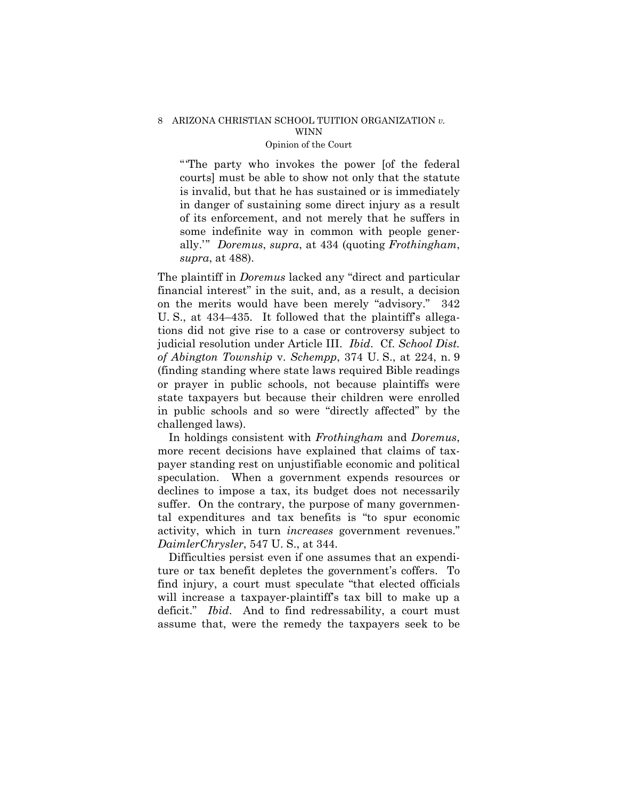## Opinion of the Court

"'The party who invokes the power [of the federal courts] must be able to show not only that the statute is invalid, but that he has sustained or is immediately in danger of sustaining some direct injury as a result of its enforcement, and not merely that he suffers in some indefinite way in common with people generally.'" *Doremus*, *supra*, at 434 (quoting *Frothingham*, *supra*, at 488).

The plaintiff in *Doremus* lacked any "direct and particular financial interest" in the suit, and, as a result, a decision on the merits would have been merely "advisory." 342 U. S., at 434–435. It followed that the plaintiff's allegations did not give rise to a case or controversy subject to judicial resolution under Article III. *Ibid*. Cf. *School Dist. of Abington Township* v. *Schempp*, 374 U. S., at 224, n. 9 (finding standing where state laws required Bible readings or prayer in public schools, not because plaintiffs were state taxpayers but because their children were enrolled in public schools and so were "directly affected" by the challenged laws).

In holdings consistent with *Frothingham* and *Doremus*, more recent decisions have explained that claims of taxpayer standing rest on unjustifiable economic and political speculation. When a government expends resources or declines to impose a tax, its budget does not necessarily suffer. On the contrary, the purpose of many governmental expenditures and tax benefits is "to spur economic activity, which in turn *increases* government revenues." *DaimlerChrysler*, 547 U. S., at 344.

Difficulties persist even if one assumes that an expenditure or tax benefit depletes the government's coffers. To find injury, a court must speculate "that elected officials will increase a taxpayer-plaintiff's tax bill to make up a deficit." *Ibid*. And to find redressability, a court must assume that, were the remedy the taxpayers seek to be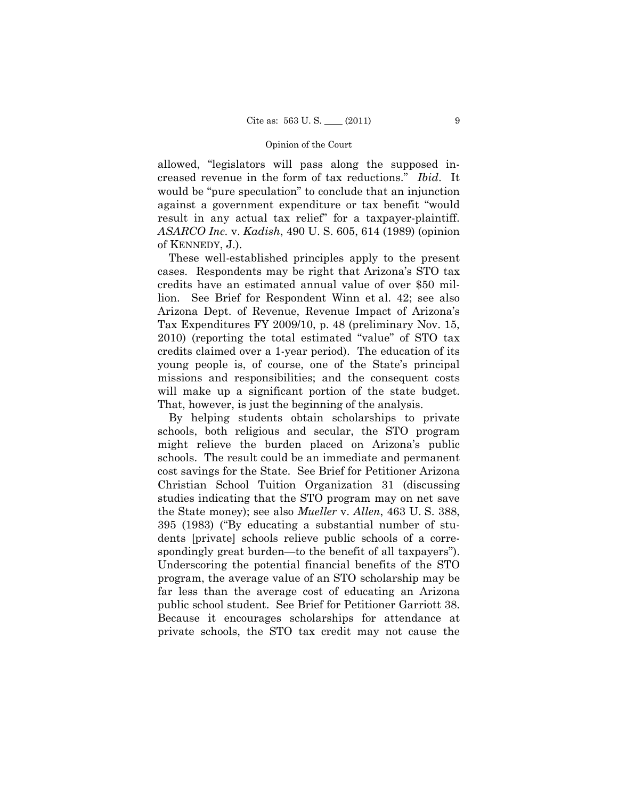allowed, "legislators will pass along the supposed increased revenue in the form of tax reductions." *Ibid*. It would be "pure speculation" to conclude that an injunction against a government expenditure or tax benefit "would result in any actual tax relief" for a taxpayer-plaintiff. *ASARCO Inc.* v. *Kadish*, 490 U. S. 605, 614 (1989) (opinion of KENNEDY, J.).

These well-established principles apply to the present cases. Respondents may be right that Arizona's STO tax credits have an estimated annual value of over \$50 million. See Brief for Respondent Winn et al. 42; see also Arizona Dept. of Revenue, Revenue Impact of Arizona's Tax Expenditures FY 2009/10, p. 48 (preliminary Nov. 15, 2010) (reporting the total estimated "value" of STO tax credits claimed over a 1-year period). The education of its young people is, of course, one of the State's principal missions and responsibilities; and the consequent costs will make up a significant portion of the state budget. That, however, is just the beginning of the analysis.

By helping students obtain scholarships to private schools, both religious and secular, the STO program might relieve the burden placed on Arizona's public schools. The result could be an immediate and permanent cost savings for the State. See Brief for Petitioner Arizona Christian School Tuition Organization 31 (discussing studies indicating that the STO program may on net save the State money); see also *Mueller* v. *Allen*, 463 U. S. 388, 395 (1983) ("By educating a substantial number of students [private] schools relieve public schools of a correspondingly great burden—to the benefit of all taxpayers"). Underscoring the potential financial benefits of the STO program, the average value of an STO scholarship may be far less than the average cost of educating an Arizona public school student. See Brief for Petitioner Garriott 38. Because it encourages scholarships for attendance at private schools, the STO tax credit may not cause the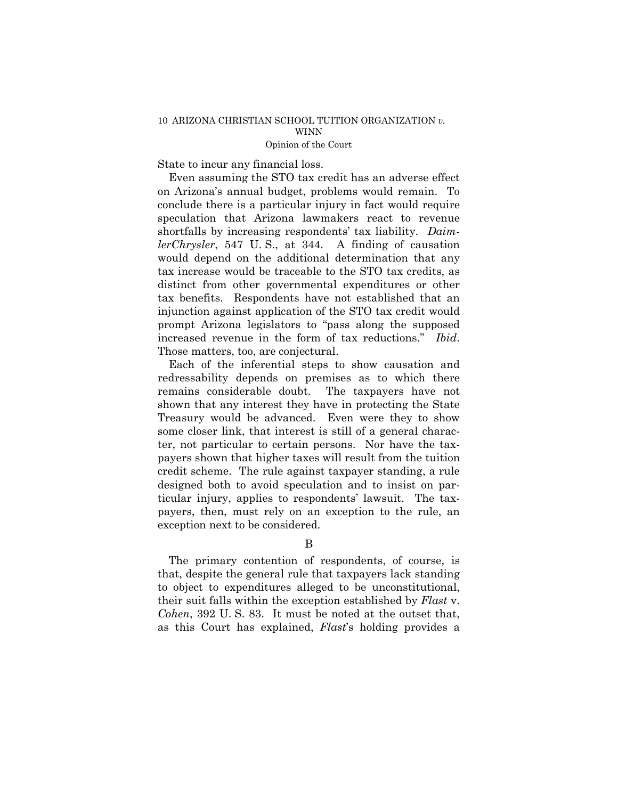#### 10 ARIZONA CHRISTIAN SCHOOL TUITION ORGANIZATION *v.*  WINN Opinion of the Court

State to incur any financial loss.

Even assuming the STO tax credit has an adverse effect on Arizona's annual budget, problems would remain. To conclude there is a particular injury in fact would require speculation that Arizona lawmakers react to revenue shortfalls by increasing respondents' tax liability. *DaimlerChrysler*, 547 U. S., at 344. A finding of causation would depend on the additional determination that any tax increase would be traceable to the STO tax credits, as distinct from other governmental expenditures or other tax benefits. Respondents have not established that an injunction against application of the STO tax credit would prompt Arizona legislators to "pass along the supposed increased revenue in the form of tax reductions." *Ibid*. Those matters, too, are conjectural.

Each of the inferential steps to show causation and redressability depends on premises as to which there remains considerable doubt. The taxpayers have not shown that any interest they have in protecting the State Treasury would be advanced. Even were they to show some closer link, that interest is still of a general character, not particular to certain persons. Nor have the taxpayers shown that higher taxes will result from the tuition credit scheme. The rule against taxpayer standing, a rule designed both to avoid speculation and to insist on particular injury, applies to respondents' lawsuit. The taxpayers, then, must rely on an exception to the rule, an exception next to be considered.

## B

The primary contention of respondents, of course, is that, despite the general rule that taxpayers lack standing to object to expenditures alleged to be unconstitutional, their suit falls within the exception established by *Flast* v. *Cohen*, 392 U. S. 83. It must be noted at the outset that, as this Court has explained, *Flast*'s holding provides a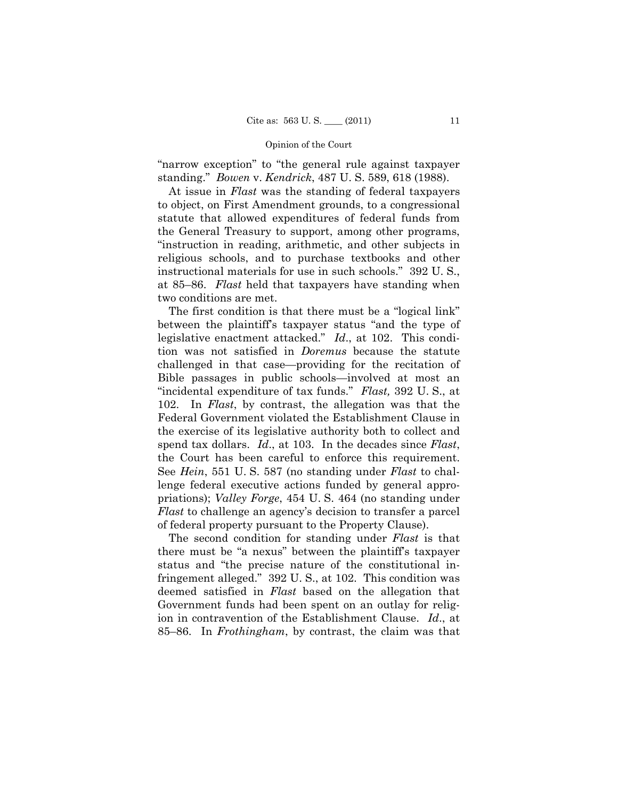"narrow exception" to "the general rule against taxpayer standing." *Bowen* v. *Kendrick*, 487 U. S. 589, 618 (1988).

At issue in *Flast* was the standing of federal taxpayers to object, on First Amendment grounds, to a congressional statute that allowed expenditures of federal funds from the General Treasury to support, among other programs, "instruction in reading, arithmetic, and other subjects in religious schools, and to purchase textbooks and other instructional materials for use in such schools." 392 U. S., at 85–86. *Flast* held that taxpayers have standing when two conditions are met.

The first condition is that there must be a "logical link" between the plaintiff's taxpayer status "and the type of legislative enactment attacked." *Id*., at 102. This condition was not satisfied in *Doremus* because the statute challenged in that case—providing for the recitation of Bible passages in public schools—involved at most an "incidental expenditure of tax funds." *Flast,* 392 U. S., at 102. In *Flast*, by contrast, the allegation was that the Federal Government violated the Establishment Clause in the exercise of its legislative authority both to collect and spend tax dollars. *Id*., at 103. In the decades since *Flast*, the Court has been careful to enforce this requirement. See *Hein*, 551 U. S. 587 (no standing under *Flast* to challenge federal executive actions funded by general appropriations); *Valley Forge*, 454 U. S. 464 (no standing under *Flast* to challenge an agency's decision to transfer a parcel of federal property pursuant to the Property Clause).

The second condition for standing under *Flast* is that there must be "a nexus" between the plaintiff's taxpayer status and "the precise nature of the constitutional infringement alleged." 392 U. S., at 102. This condition was deemed satisfied in *Flast* based on the allegation that Government funds had been spent on an outlay for religion in contravention of the Establishment Clause. *Id*., at 85–86. In *Frothingham*, by contrast, the claim was that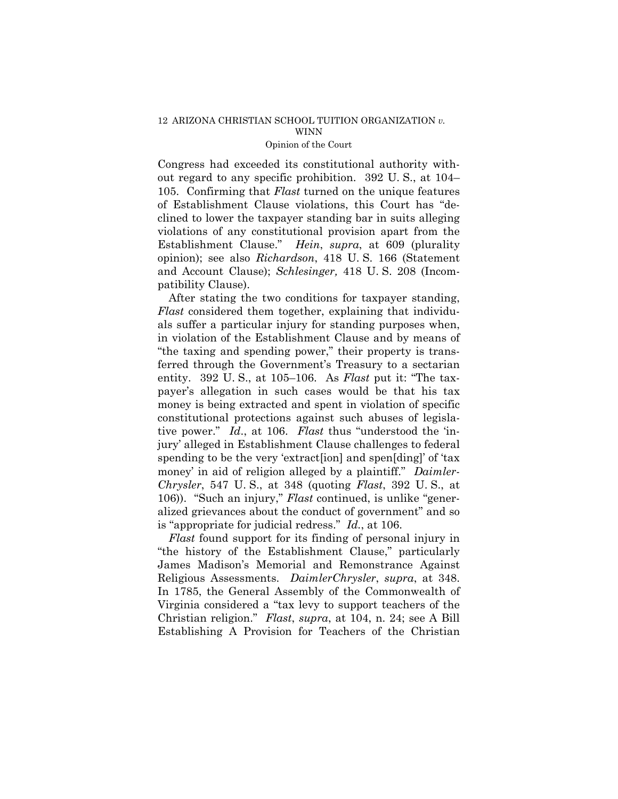# Opinion of the Court

Congress had exceeded its constitutional authority without regard to any specific prohibition. 392 U. S., at 104– 105. Confirming that *Flast* turned on the unique features of Establishment Clause violations, this Court has "declined to lower the taxpayer standing bar in suits alleging violations of any constitutional provision apart from the Establishment Clause." *Hein*, *supra*, at 609 (plurality opinion); see also *Richardson*, 418 U. S. 166 (Statement and Account Clause); *Schlesinger,* 418 U. S. 208 (Incompatibility Clause).

After stating the two conditions for taxpayer standing, *Flast* considered them together, explaining that individuals suffer a particular injury for standing purposes when, in violation of the Establishment Clause and by means of "the taxing and spending power," their property is transferred through the Government's Treasury to a sectarian entity. 392 U. S., at 105–106. As *Flast* put it: "The taxpayer's allegation in such cases would be that his tax money is being extracted and spent in violation of specific constitutional protections against such abuses of legislative power." *Id*., at 106. *Flast* thus "understood the 'injury' alleged in Establishment Clause challenges to federal spending to be the very 'extract[ion] and spen[ding]' of 'tax money' in aid of religion alleged by a plaintiff." *Daimler-Chrysler*, 547 U. S., at 348 (quoting *Flast*, 392 U. S., at 106)). "Such an injury," *Flast* continued, is unlike "generalized grievances about the conduct of government" and so is "appropriate for judicial redress." *Id.*, at 106.

*Flast* found support for its finding of personal injury in "the history of the Establishment Clause," particularly James Madison's Memorial and Remonstrance Against Religious Assessments. *DaimlerChrysler*, *supra*, at 348. In 1785, the General Assembly of the Commonwealth of Virginia considered a "tax levy to support teachers of the Christian religion." *Flast*, *supra*, at 104, n. 24; see A Bill Establishing A Provision for Teachers of the Christian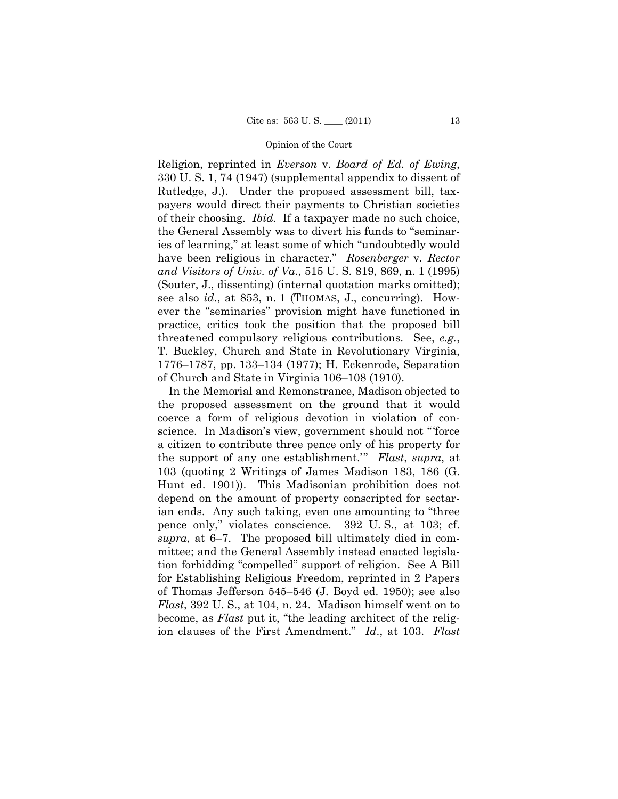Religion, reprinted in *Everson* v. *Board of Ed. of Ewing*, 330 U. S. 1, 74 (1947) (supplemental appendix to dissent of Rutledge, J.). Under the proposed assessment bill, taxpayers would direct their payments to Christian societies of their choosing. *Ibid.* If a taxpayer made no such choice, the General Assembly was to divert his funds to "seminaries of learning," at least some of which "undoubtedly would have been religious in character." *Rosenberger* v*. Rector and Visitors of Univ. of Va*., 515 U. S. 819, 869, n. 1 (1995) (Souter, J., dissenting) (internal quotation marks omitted); see also *id*., at 853, n. 1 (THOMAS, J., concurring). However the "seminaries" provision might have functioned in practice, critics took the position that the proposed bill threatened compulsory religious contributions. See, *e.g.*, T. Buckley, Church and State in Revolutionary Virginia, 1776–1787, pp. 133–134 (1977); H. Eckenrode, Separation of Church and State in Virginia 106–108 (1910).

In the Memorial and Remonstrance, Madison objected to the proposed assessment on the ground that it would coerce a form of religious devotion in violation of conscience. In Madison's view, government should not "'force a citizen to contribute three pence only of his property for the support of any one establishment.'" *Flast*, *supra*, at 103 (quoting 2 Writings of James Madison 183, 186 (G. Hunt ed. 1901)). This Madisonian prohibition does not depend on the amount of property conscripted for sectarian ends. Any such taking, even one amounting to "three pence only," violates conscience. 392 U. S., at 103; cf. *supra*, at 6–7. The proposed bill ultimately died in committee; and the General Assembly instead enacted legislation forbidding "compelled" support of religion. See A Bill for Establishing Religious Freedom, reprinted in 2 Papers of Thomas Jefferson 545–546 (J. Boyd ed. 1950); see also *Flast*, 392 U. S., at 104, n. 24. Madison himself went on to become, as *Flast* put it, "the leading architect of the religion clauses of the First Amendment." *Id*., at 103. *Flast*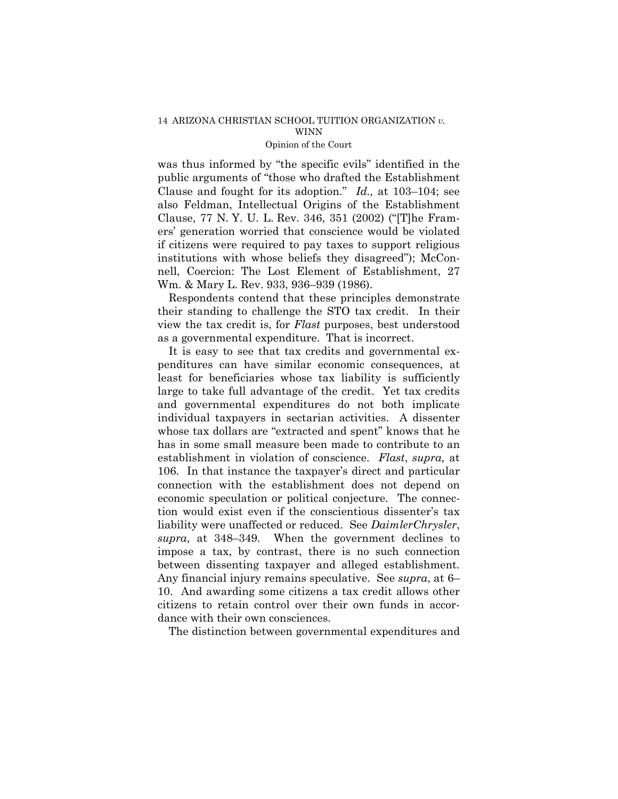# Opinion of the Court

was thus informed by "the specific evils" identified in the public arguments of "those who drafted the Establishment Clause and fought for its adoption." *Id.,* at 103–104; see also Feldman, Intellectual Origins of the Establishment Clause, 77 N. Y. U. L. Rev. 346, 351 (2002) ("[T]he Framers' generation worried that conscience would be violated if citizens were required to pay taxes to support religious institutions with whose beliefs they disagreed"); McConnell, Coercion: The Lost Element of Establishment, 27 Wm. & Mary L. Rev. 933, 936–939 (1986).

Respondents contend that these principles demonstrate their standing to challenge the STO tax credit. In their view the tax credit is, for *Flast* purposes, best understood as a governmental expenditure. That is incorrect.

It is easy to see that tax credits and governmental expenditures can have similar economic consequences, at least for beneficiaries whose tax liability is sufficiently large to take full advantage of the credit. Yet tax credits and governmental expenditures do not both implicate individual taxpayers in sectarian activities. A dissenter whose tax dollars are "extracted and spent" knows that he has in some small measure been made to contribute to an establishment in violation of conscience. *Flast*, *supra,* at 106. In that instance the taxpayer's direct and particular connection with the establishment does not depend on economic speculation or political conjecture. The connection would exist even if the conscientious dissenter's tax liability were unaffected or reduced. See *DaimlerChrysler*, *supra*, at 348–349. When the government declines to impose a tax, by contrast, there is no such connection between dissenting taxpayer and alleged establishment. Any financial injury remains speculative. See *supra*, at 6– 10. And awarding some citizens a tax credit allows other citizens to retain control over their own funds in accordance with their own consciences.

The distinction between governmental expenditures and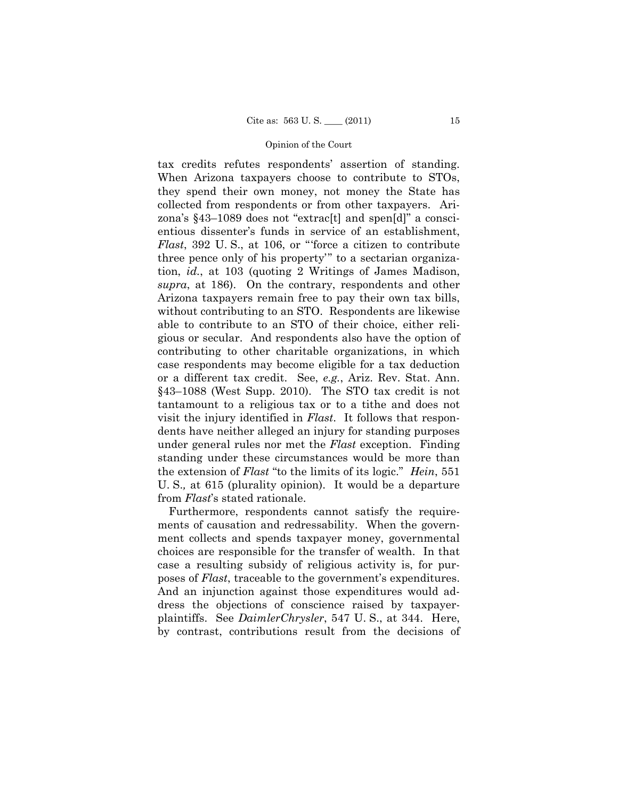tax credits refutes respondents' assertion of standing. When Arizona taxpayers choose to contribute to STOs, they spend their own money, not money the State has collected from respondents or from other taxpayers. Arizona's §43–1089 does not "extrac[t] and spen[d]" a conscientious dissenter's funds in service of an establishment, *Flast*, 392 U. S., at 106, or "'force a citizen to contribute three pence only of his property'" to a sectarian organization, *id.*, at 103 (quoting 2 Writings of James Madison, *supra*, at 186). On the contrary, respondents and other Arizona taxpayers remain free to pay their own tax bills, without contributing to an STO. Respondents are likewise able to contribute to an STO of their choice, either religious or secular. And respondents also have the option of contributing to other charitable organizations, in which case respondents may become eligible for a tax deduction or a different tax credit. See, *e.g.*, Ariz. Rev. Stat. Ann. §43–1088 (West Supp. 2010). The STO tax credit is not tantamount to a religious tax or to a tithe and does not visit the injury identified in *Flast*. It follows that respondents have neither alleged an injury for standing purposes under general rules nor met the *Flast* exception. Finding standing under these circumstances would be more than the extension of *Flast* "to the limits of its logic." *Hein*, 551 U. S.*,* at 615 (plurality opinion). It would be a departure from *Flast*'s stated rationale.

Furthermore, respondents cannot satisfy the requirements of causation and redressability. When the government collects and spends taxpayer money, governmental choices are responsible for the transfer of wealth. In that case a resulting subsidy of religious activity is, for purposes of *Flast*, traceable to the government's expenditures. And an injunction against those expenditures would address the objections of conscience raised by taxpayerplaintiffs. See *DaimlerChrysler*, 547 U. S., at 344. Here, by contrast, contributions result from the decisions of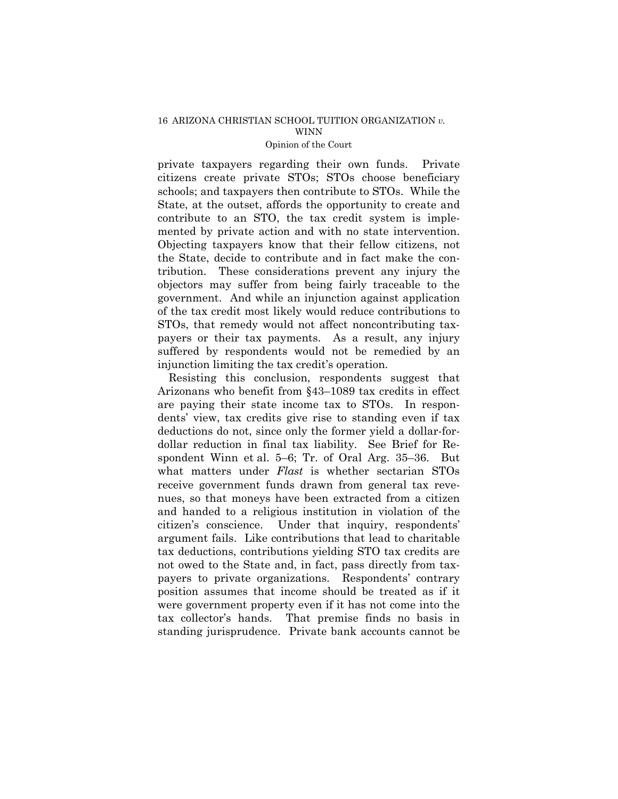# Opinion of the Court

private taxpayers regarding their own funds. Private citizens create private STOs; STOs choose beneficiary schools; and taxpayers then contribute to STOs. While the State, at the outset, affords the opportunity to create and contribute to an STO, the tax credit system is implemented by private action and with no state intervention. Objecting taxpayers know that their fellow citizens, not the State, decide to contribute and in fact make the contribution. These considerations prevent any injury the objectors may suffer from being fairly traceable to the government. And while an injunction against application of the tax credit most likely would reduce contributions to STOs, that remedy would not affect noncontributing taxpayers or their tax payments. As a result, any injury suffered by respondents would not be remedied by an injunction limiting the tax credit's operation.

Resisting this conclusion, respondents suggest that Arizonans who benefit from §43–1089 tax credits in effect are paying their state income tax to STOs. In respondents' view, tax credits give rise to standing even if tax deductions do not, since only the former yield a dollar-fordollar reduction in final tax liability. See Brief for Respondent Winn et al. 5–6; Tr. of Oral Arg. 35–36. But what matters under *Flast* is whether sectarian STOs receive government funds drawn from general tax revenues, so that moneys have been extracted from a citizen and handed to a religious institution in violation of the citizen's conscience. Under that inquiry, respondents' argument fails. Like contributions that lead to charitable tax deductions, contributions yielding STO tax credits are not owed to the State and, in fact, pass directly from taxpayers to private organizations. Respondents' contrary position assumes that income should be treated as if it were government property even if it has not come into the tax collector's hands. That premise finds no basis in standing jurisprudence. Private bank accounts cannot be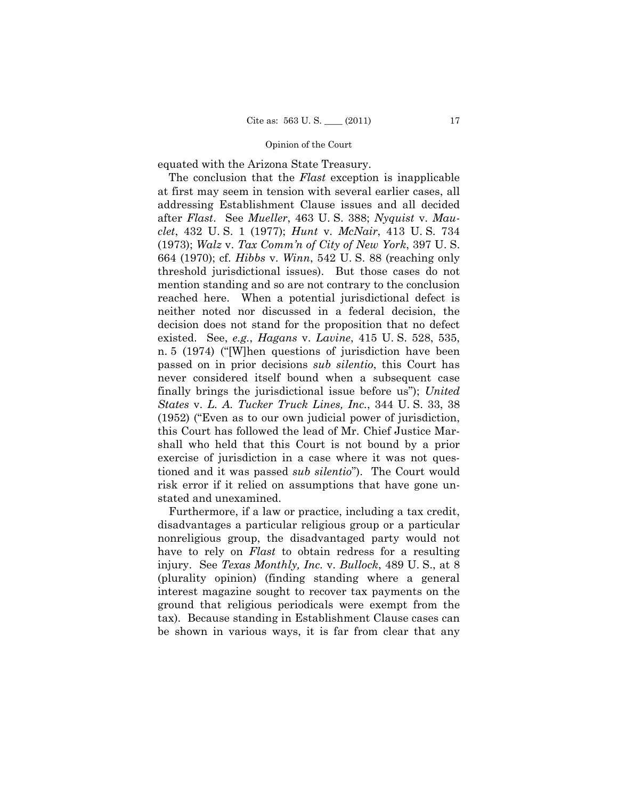equated with the Arizona State Treasury.

The conclusion that the *Flast* exception is inapplicable at first may seem in tension with several earlier cases, all addressing Establishment Clause issues and all decided after *Flast*. See *Mueller*, 463 U. S. 388; *Nyquist* v. *Mauclet*, 432 U. S. 1 (1977); *Hunt* v. *McNair*, 413 U. S. 734 (1973); *Walz* v. *Tax Comm'n of City of New York*, 397 U. S. 664 (1970); cf. *Hibbs* v. *Winn*, 542 U. S. 88 (reaching only threshold jurisdictional issues). But those cases do not mention standing and so are not contrary to the conclusion reached here. When a potential jurisdictional defect is neither noted nor discussed in a federal decision, the decision does not stand for the proposition that no defect existed. See, *e.g.*, *Hagans* v. *Lavine*, 415 U. S. 528, 535, n. 5 (1974) ("[W]hen questions of jurisdiction have been passed on in prior decisions *sub silentio*, this Court has never considered itself bound when a subsequent case finally brings the jurisdictional issue before us"); *United States* v. *L. A. Tucker Truck Lines, Inc.*, 344 U. S. 33, 38 (1952) ("Even as to our own judicial power of jurisdiction, this Court has followed the lead of Mr. Chief Justice Marshall who held that this Court is not bound by a prior exercise of jurisdiction in a case where it was not questioned and it was passed *sub silentio*"). The Court would risk error if it relied on assumptions that have gone unstated and unexamined.

Furthermore, if a law or practice, including a tax credit, disadvantages a particular religious group or a particular nonreligious group, the disadvantaged party would not have to rely on *Flast* to obtain redress for a resulting injury. See *Texas Monthly, Inc.* v. *Bullock*, 489 U. S., at 8 (plurality opinion) (finding standing where a general interest magazine sought to recover tax payments on the ground that religious periodicals were exempt from the tax). Because standing in Establishment Clause cases can be shown in various ways, it is far from clear that any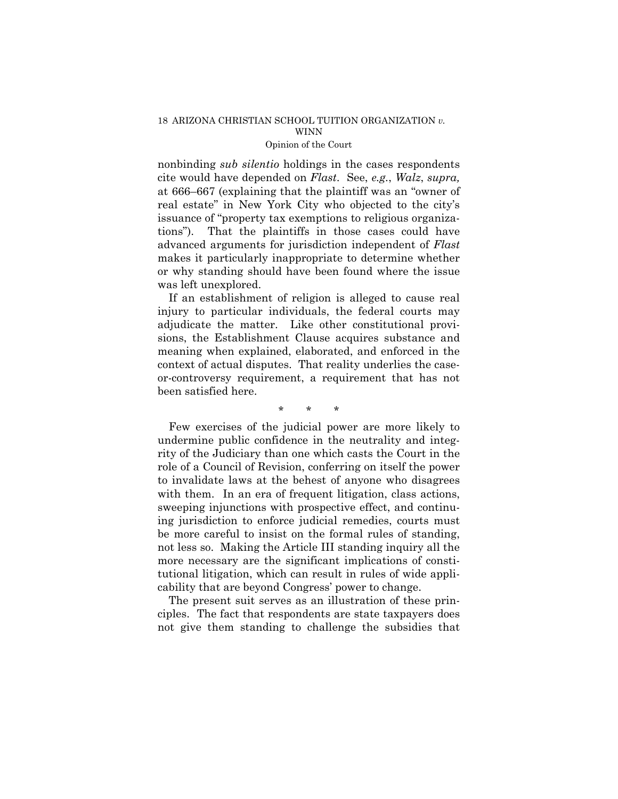# Opinion of the Court

nonbinding *sub silentio* holdings in the cases respondents cite would have depended on *Flast*. See, *e.g.*, *Walz*, *supra,* at 666–667 (explaining that the plaintiff was an "owner of real estate" in New York City who objected to the city's issuance of "property tax exemptions to religious organizations"). That the plaintiffs in those cases could have advanced arguments for jurisdiction independent of *Flast*  makes it particularly inappropriate to determine whether or why standing should have been found where the issue was left unexplored.

If an establishment of religion is alleged to cause real injury to particular individuals, the federal courts may adjudicate the matter. Like other constitutional provisions, the Establishment Clause acquires substance and meaning when explained, elaborated, and enforced in the context of actual disputes. That reality underlies the caseor-controversy requirement, a requirement that has not been satisfied here.

\* \* \*

Few exercises of the judicial power are more likely to undermine public confidence in the neutrality and integrity of the Judiciary than one which casts the Court in the role of a Council of Revision, conferring on itself the power to invalidate laws at the behest of anyone who disagrees with them. In an era of frequent litigation, class actions, sweeping injunctions with prospective effect, and continuing jurisdiction to enforce judicial remedies, courts must be more careful to insist on the formal rules of standing, not less so. Making the Article III standing inquiry all the more necessary are the significant implications of constitutional litigation, which can result in rules of wide applicability that are beyond Congress' power to change.

The present suit serves as an illustration of these principles. The fact that respondents are state taxpayers does not give them standing to challenge the subsidies that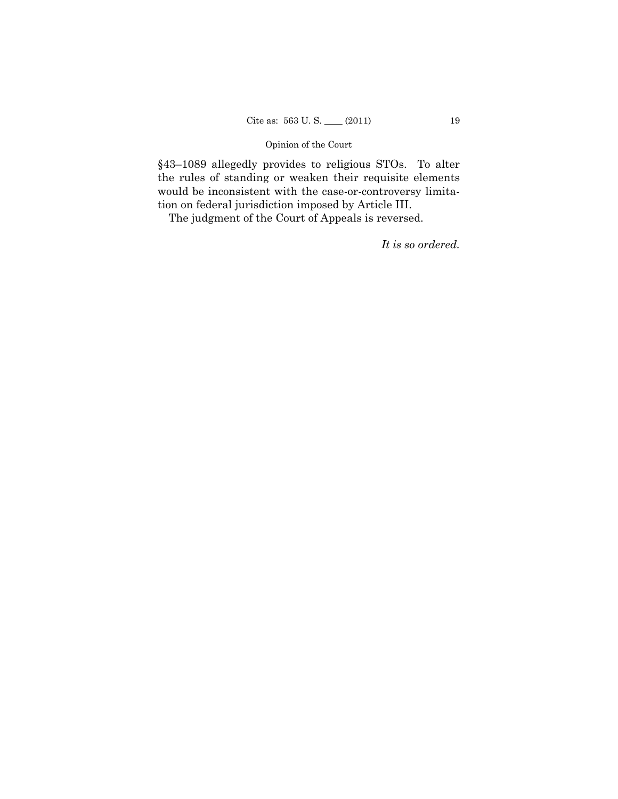§43–1089 allegedly provides to religious STOs. To alter the rules of standing or weaken their requisite elements would be inconsistent with the case-or-controversy limitation on federal jurisdiction imposed by Article III.

The judgment of the Court of Appeals is reversed.

*It is so ordered.*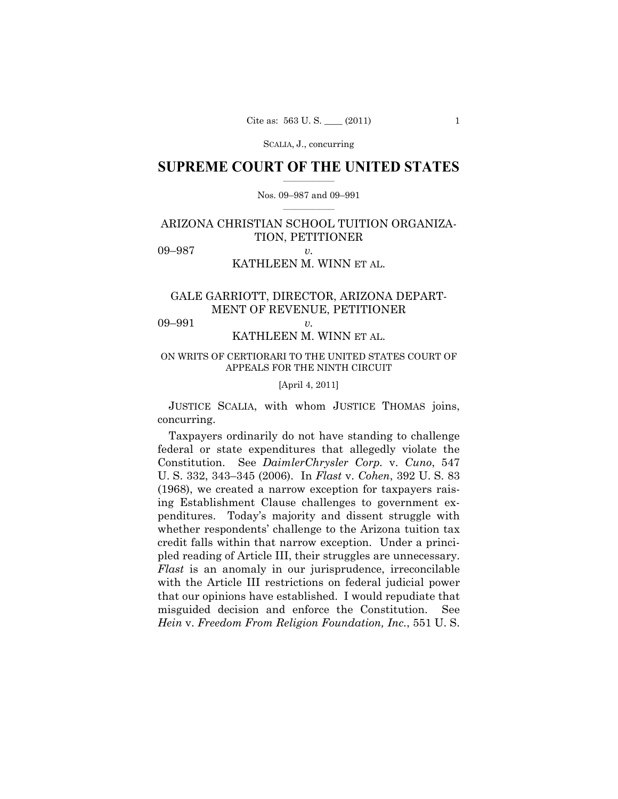SCALIA, J., concurring

#### $\frac{1}{2}$  , where  $\frac{1}{2}$ **SUPREME COURT OF THE UNITED STATES**

#### $\frac{1}{2}$  ,  $\frac{1}{2}$  ,  $\frac{1}{2}$  ,  $\frac{1}{2}$  ,  $\frac{1}{2}$  ,  $\frac{1}{2}$ Nos. 09–987 and 09–991

# ARIZONA CHRISTIAN SCHOOL TUITION ORGANIZA-TION, PETITIONER 09–987 *v.*

#### KATHLEEN M. WINN ET AL.

# GALE GARRIOTT, DIRECTOR, ARIZONA DEPART-MENT OF REVENUE, PETITIONER

09–991 *v.* 

# KATHLEEN M. WINN ET AL.

## ON WRITS OF CERTIORARI TO THE UNITED STATES COURT OF APPEALS FOR THE NINTH CIRCUIT

#### [April 4, 2011]

 JUSTICE SCALIA, with whom JUSTICE THOMAS joins, concurring.

Taxpayers ordinarily do not have standing to challenge federal or state expenditures that allegedly violate the Constitution. See *DaimlerChrysler Corp.* v. *Cuno*, 547 U. S. 332, 343–345 (2006). In *Flast* v. *Cohen*, 392 U. S. 83 (1968), we created a narrow exception for taxpayers raising Establishment Clause challenges to government expenditures. Today's majority and dissent struggle with whether respondents' challenge to the Arizona tuition tax credit falls within that narrow exception. Under a principled reading of Article III, their struggles are unnecessary. *Flast* is an anomaly in our jurisprudence, irreconcilable with the Article III restrictions on federal judicial power that our opinions have established. I would repudiate that misguided decision and enforce the Constitution. See *Hein* v. *Freedom From Religion Foundation, Inc.*, 551 U. S.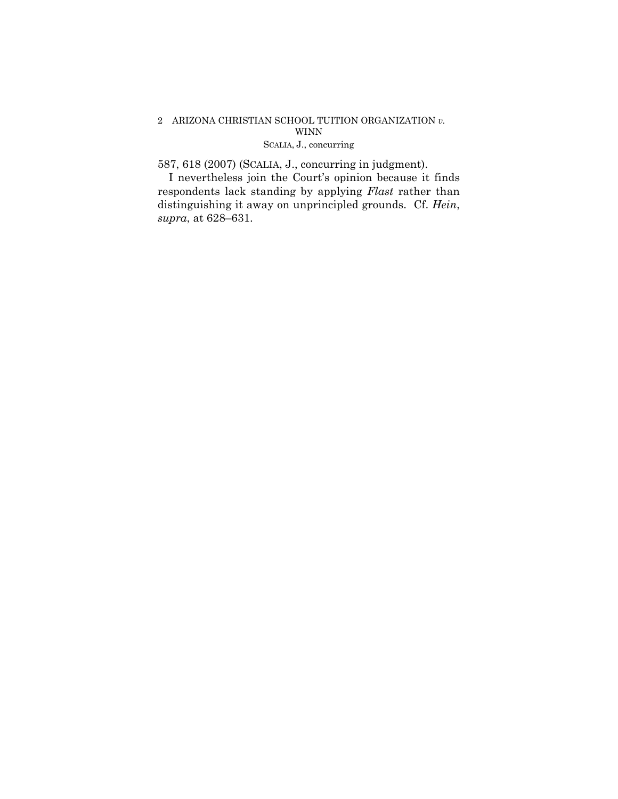# 2 ARIZONA CHRISTIAN SCHOOL TUITION ORGANIZATION *v.*  WINN SCALIA, J., concurring

587, 618 (2007) (SCALIA, J., concurring in judgment).

I nevertheless join the Court's opinion because it finds respondents lack standing by applying *Flast* rather than distinguishing it away on unprincipled grounds. Cf. *Hein*, *supra*, at 628–631.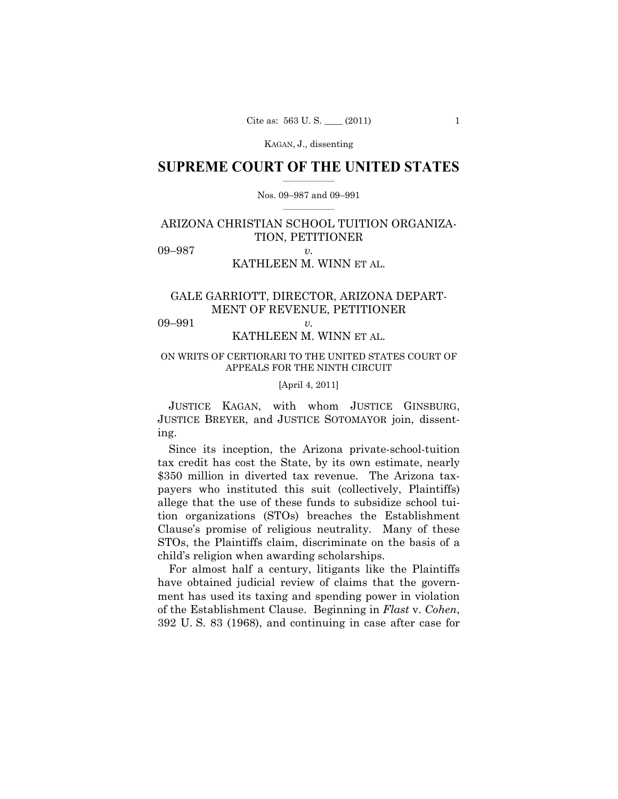#### $\frac{1}{2}$  , where  $\frac{1}{2}$ **SUPREME COURT OF THE UNITED STATES**

#### $\frac{1}{2}$  ,  $\frac{1}{2}$  ,  $\frac{1}{2}$  ,  $\frac{1}{2}$  ,  $\frac{1}{2}$  ,  $\frac{1}{2}$ Nos. 09–987 and 09–991

# ARIZONA CHRISTIAN SCHOOL TUITION ORGANIZA-TION, PETITIONER 09–987 *v.*

### KATHLEEN M. WINN ET AL.

# GALE GARRIOTT, DIRECTOR, ARIZONA DEPART-MENT OF REVENUE, PETITIONER

09–991 *v.* 

# KATHLEEN M. WINN ET AL.

## ON WRITS OF CERTIORARI TO THE UNITED STATES COURT OF APPEALS FOR THE NINTH CIRCUIT

#### [April 4, 2011]

 JUSTICE KAGAN, with whom JUSTICE GINSBURG, JUSTICE BREYER, and JUSTICE SOTOMAYOR join, dissenting.

Since its inception, the Arizona private-school-tuition tax credit has cost the State, by its own estimate, nearly \$350 million in diverted tax revenue. The Arizona taxpayers who instituted this suit (collectively, Plaintiffs) allege that the use of these funds to subsidize school tuition organizations (STOs) breaches the Establishment Clause's promise of religious neutrality. Many of these STOs, the Plaintiffs claim, discriminate on the basis of a child's religion when awarding scholarships.

For almost half a century, litigants like the Plaintiffs have obtained judicial review of claims that the government has used its taxing and spending power in violation of the Establishment Clause. Beginning in *Flast* v. *Cohen*, 392 U. S. 83 (1968), and continuing in case after case for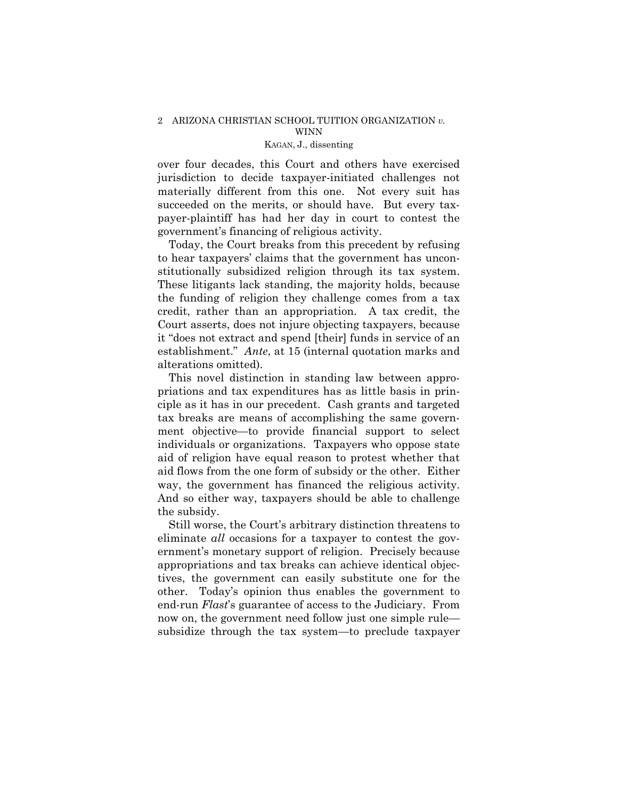over four decades, this Court and others have exercised jurisdiction to decide taxpayer-initiated challenges not materially different from this one. Not every suit has succeeded on the merits, or should have. But every taxpayer-plaintiff has had her day in court to contest the government's financing of religious activity.

Today, the Court breaks from this precedent by refusing to hear taxpayers' claims that the government has unconstitutionally subsidized religion through its tax system. These litigants lack standing, the majority holds, because the funding of religion they challenge comes from a tax credit, rather than an appropriation. A tax credit, the Court asserts, does not injure objecting taxpayers, because it "does not extract and spend [their] funds in service of an establishment." *Ante*, at 15 (internal quotation marks and alterations omitted).

This novel distinction in standing law between appropriations and tax expenditures has as little basis in principle as it has in our precedent. Cash grants and targeted tax breaks are means of accomplishing the same government objective—to provide financial support to select individuals or organizations. Taxpayers who oppose state aid of religion have equal reason to protest whether that aid flows from the one form of subsidy or the other. Either way, the government has financed the religious activity. And so either way, taxpayers should be able to challenge the subsidy.

Still worse, the Court's arbitrary distinction threatens to eliminate *all* occasions for a taxpayer to contest the government's monetary support of religion. Precisely because appropriations and tax breaks can achieve identical objectives, the government can easily substitute one for the other. Today's opinion thus enables the government to end-run *Flast*'s guarantee of access to the Judiciary. From now on, the government need follow just one simple rule subsidize through the tax system—to preclude taxpayer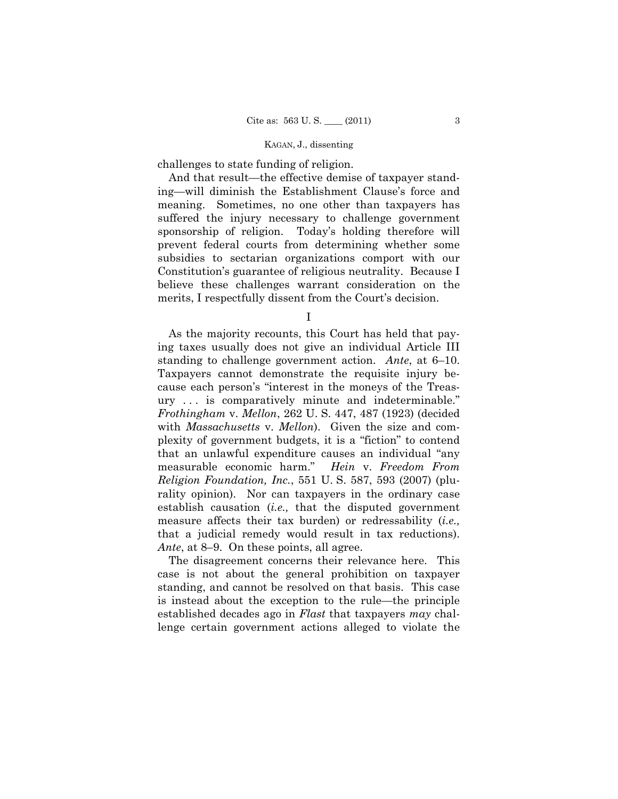challenges to state funding of religion.

And that result—the effective demise of taxpayer standing—will diminish the Establishment Clause's force and meaning. Sometimes, no one other than taxpayers has suffered the injury necessary to challenge government sponsorship of religion. Today's holding therefore will prevent federal courts from determining whether some subsidies to sectarian organizations comport with our Constitution's guarantee of religious neutrality. Because I believe these challenges warrant consideration on the merits, I respectfully dissent from the Court's decision.

I

As the majority recounts, this Court has held that paying taxes usually does not give an individual Article III standing to challenge government action. *Ante*, at 6–10. Taxpayers cannot demonstrate the requisite injury because each person's "interest in the moneys of the Treasury . . . is comparatively minute and indeterminable." *Frothingham* v. *Mellon*, 262 U. S. 447, 487 (1923) (decided with *Massachusetts* v. *Mellon*). Given the size and complexity of government budgets, it is a "fiction" to contend that an unlawful expenditure causes an individual "any measurable economic harm." *Hein* v. *Freedom From Religion Foundation, Inc.*, 551 U. S. 587, 593 (2007) (plurality opinion). Nor can taxpayers in the ordinary case establish causation (*i.e.,* that the disputed government measure affects their tax burden) or redressability (*i.e.,*  that a judicial remedy would result in tax reductions). *Ante*, at 8–9. On these points, all agree.

The disagreement concerns their relevance here. This case is not about the general prohibition on taxpayer standing, and cannot be resolved on that basis. This case is instead about the exception to the rule—the principle established decades ago in *Flast* that taxpayers *may* challenge certain government actions alleged to violate the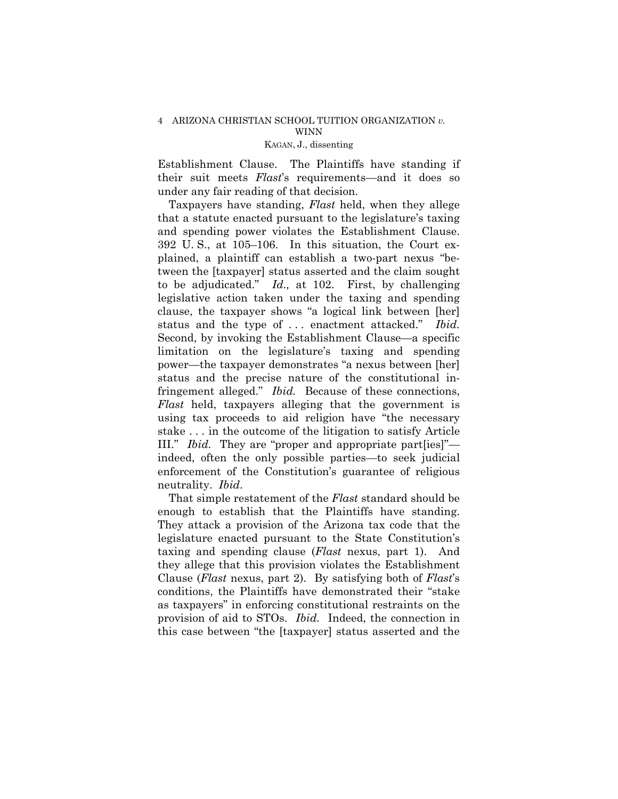# KAGAN, J., dissenting

Establishment Clause. The Plaintiffs have standing if their suit meets *Flast*'s requirements—and it does so under any fair reading of that decision.

 Taxpayers have standing, *Flast* held, when they allege that a statute enacted pursuant to the legislature's taxing and spending power violates the Establishment Clause. 392 U. S., at 105–106. In this situation, the Court explained, a plaintiff can establish a two-part nexus "between the [taxpayer] status asserted and the claim sought to be adjudicated." *Id.,* at 102. First, by challenging legislative action taken under the taxing and spending clause, the taxpayer shows "a logical link between [her] status and the type of . . . enactment attacked." *Ibid.*  Second, by invoking the Establishment Clause—a specific limitation on the legislature's taxing and spending power—the taxpayer demonstrates "a nexus between [her] status and the precise nature of the constitutional infringement alleged." *Ibid.* Because of these connections, *Flast* held, taxpayers alleging that the government is using tax proceeds to aid religion have "the necessary stake . . . in the outcome of the litigation to satisfy Article III." *Ibid.* They are "proper and appropriate part[ies]" indeed, often the only possible parties—to seek judicial enforcement of the Constitution's guarantee of religious neutrality. *Ibid*.

That simple restatement of the *Flast* standard should be enough to establish that the Plaintiffs have standing. They attack a provision of the Arizona tax code that the legislature enacted pursuant to the State Constitution's taxing and spending clause (*Flast* nexus, part 1). And they allege that this provision violates the Establishment Clause (*Flast* nexus, part 2). By satisfying both of *Flast*'s conditions, the Plaintiffs have demonstrated their "stake as taxpayers" in enforcing constitutional restraints on the provision of aid to STOs. *Ibid.* Indeed, the connection in this case between "the [taxpayer] status asserted and the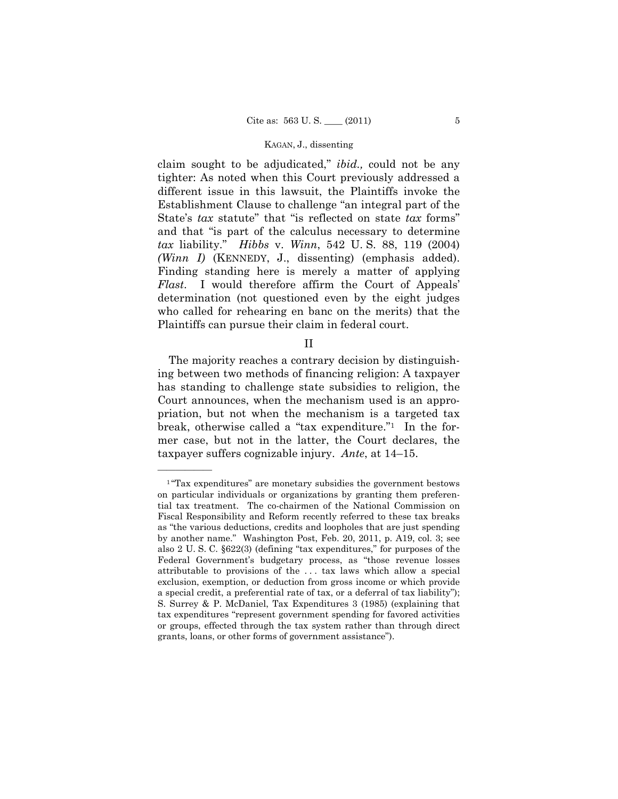claim sought to be adjudicated," *ibid.,* could not be any tighter: As noted when this Court previously addressed a different issue in this lawsuit, the Plaintiffs invoke the Establishment Clause to challenge "an integral part of the State's *tax* statute" that "is reflected on state *tax* forms" and that "is part of the calculus necessary to determine *tax* liability." *Hibbs* v. *Winn*, 542 U. S. 88, 119 (2004) *(Winn I)* (KENNEDY, J., dissenting) (emphasis added). Finding standing here is merely a matter of applying *Flast*. I would therefore affirm the Court of Appeals' determination (not questioned even by the eight judges who called for rehearing en banc on the merits) that the Plaintiffs can pursue their claim in federal court.

II

The majority reaches a contrary decision by distinguishing between two methods of financing religion: A taxpayer has standing to challenge state subsidies to religion, the Court announces, when the mechanism used is an appropriation, but not when the mechanism is a targeted tax break, otherwise called a "tax expenditure."1 In the former case, but not in the latter, the Court declares, the taxpayer suffers cognizable injury. *Ante*, at 14–15.

<sup>1</sup> "Tax expenditures" are monetary subsidies the government bestows on particular individuals or organizations by granting them preferential tax treatment. The co-chairmen of the National Commission on Fiscal Responsibility and Reform recently referred to these tax breaks as "the various deductions, credits and loopholes that are just spending by another name." Washington Post, Feb. 20, 2011, p. A19, col. 3; see also 2 U. S. C. §622(3) (defining "tax expenditures," for purposes of the Federal Government's budgetary process, as "those revenue losses attributable to provisions of the . . . tax laws which allow a special exclusion, exemption, or deduction from gross income or which provide a special credit, a preferential rate of tax, or a deferral of tax liability"); S. Surrey & P. McDaniel, Tax Expenditures 3 (1985) (explaining that tax expenditures "represent government spending for favored activities or groups, effected through the tax system rather than through direct grants, loans, or other forms of government assistance").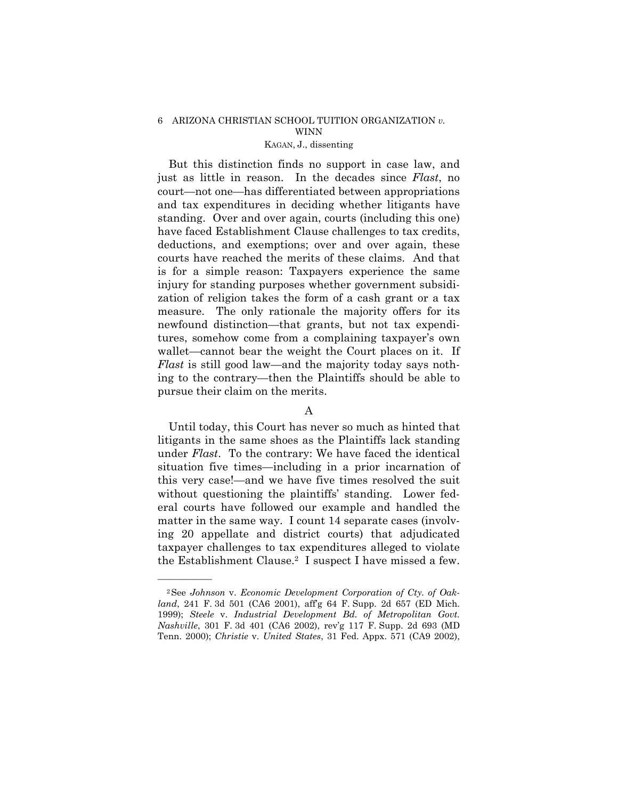# KAGAN, J., dissenting

But this distinction finds no support in case law, and just as little in reason. In the decades since *Flast*, no court—not one—has differentiated between appropriations and tax expenditures in deciding whether litigants have standing. Over and over again, courts (including this one) have faced Establishment Clause challenges to tax credits, deductions, and exemptions; over and over again, these courts have reached the merits of these claims. And that is for a simple reason: Taxpayers experience the same injury for standing purposes whether government subsidization of religion takes the form of a cash grant or a tax measure. The only rationale the majority offers for its newfound distinction—that grants, but not tax expenditures, somehow come from a complaining taxpayer's own wallet—cannot bear the weight the Court places on it. If *Flast* is still good law—and the majority today says nothing to the contrary—then the Plaintiffs should be able to pursue their claim on the merits.

# A

Until today, this Court has never so much as hinted that litigants in the same shoes as the Plaintiffs lack standing under *Flast*. To the contrary: We have faced the identical situation five times—including in a prior incarnation of this very case!—and we have five times resolved the suit without questioning the plaintiffs' standing. Lower federal courts have followed our example and handled the matter in the same way. I count 14 separate cases (involving 20 appellate and district courts) that adjudicated taxpayer challenges to tax expenditures alleged to violate the Establishment Clause.2 I suspect I have missed a few.

<sup>2</sup>See *Johnson* v. *Economic Development Corporation of Cty. of Oakland*, 241 F. 3d 501 (CA6 2001), aff'g 64 F. Supp. 2d 657 (ED Mich. 1999); *Steele* v. *Industrial Development Bd. of Metropolitan Govt. Nashville*, 301 F. 3d 401 (CA6 2002), rev'g 117 F. Supp. 2d 693 (MD Tenn. 2000); *Christie* v. *United States*, 31 Fed. Appx. 571 (CA9 2002),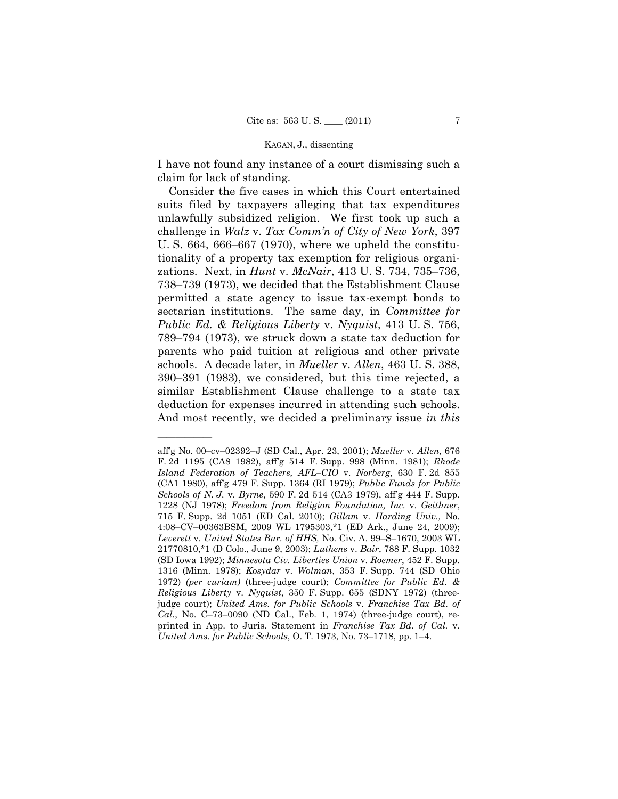I have not found any instance of a court dismissing such a claim for lack of standing.

Consider the five cases in which this Court entertained suits filed by taxpayers alleging that tax expenditures unlawfully subsidized religion. We first took up such a challenge in *Walz* v. *Tax Comm'n of City of New York*, 397 U. S. 664, 666–667 (1970), where we upheld the constitutionality of a property tax exemption for religious organizations. Next, in *Hunt* v. *McNair*, 413 U. S. 734, 735–736, 738–739 (1973), we decided that the Establishment Clause permitted a state agency to issue tax-exempt bonds to sectarian institutions. The same day, in *Committee for Public Ed. & Religious Liberty* v. *Nyquist*, 413 U. S. 756, 789–794 (1973), we struck down a state tax deduction for parents who paid tuition at religious and other private schools. A decade later, in *Mueller* v. *Allen*, 463 U. S. 388, 390–391 (1983), we considered, but this time rejected, a similar Establishment Clause challenge to a state tax deduction for expenses incurred in attending such schools. And most recently, we decided a preliminary issue *in this* 

aff'g No. 00–cv–02392–J (SD Cal., Apr. 23, 2001); *Mueller* v. *Allen*, 676 F. 2d 1195 (CA8 1982), aff'g 514 F. Supp. 998 (Minn. 1981); *Rhode Island Federation of Teachers, AFL–CIO* v. *Norberg*, 630 F. 2d 855 (CA1 1980), aff'g 479 F. Supp. 1364 (RI 1979); *Public Funds for Public Schools of N. J.* v. *Byrne*, 590 F. 2d 514 (CA3 1979), aff'g 444 F. Supp. 1228 (NJ 1978); *Freedom from Religion Foundation, Inc.* v. *Geithner*, 715 F. Supp. 2d 1051 (ED Cal. 2010); *Gillam* v. *Harding Univ.,* No. 4:08–CV–00363BSM, 2009 WL 1795303,\*1 (ED Ark., June 24, 2009); *Leverett* v. *United States Bur. of HHS,* No. Civ. A. 99–S–1670, 2003 WL 21770810,\*1 (D Colo., June 9, 2003); *Luthens* v. *Bair*, 788 F. Supp. 1032 (SD Iowa 1992); *Minnesota Civ. Liberties Union* v. *Roemer*, 452 F. Supp. 1316 (Minn. 1978); *Kosydar* v. *Wolman*, 353 F. Supp. 744 (SD Ohio 1972) *(per curiam)* (three-judge court); *Committee for Public Ed. & Religious Liberty* v. *Nyquist*, 350 F. Supp. 655 (SDNY 1972) (threejudge court); *United Ams. for Public Schools* v. *Franchise Tax Bd. of Cal.*, No. C–73–0090 (ND Cal., Feb. 1, 1974) (three-judge court), reprinted in App. to Juris. Statement in *Franchise Tax Bd. of Cal.* v. *United Ams. for Public Schools*, O. T. 1973, No. 73–1718, pp. 1–4.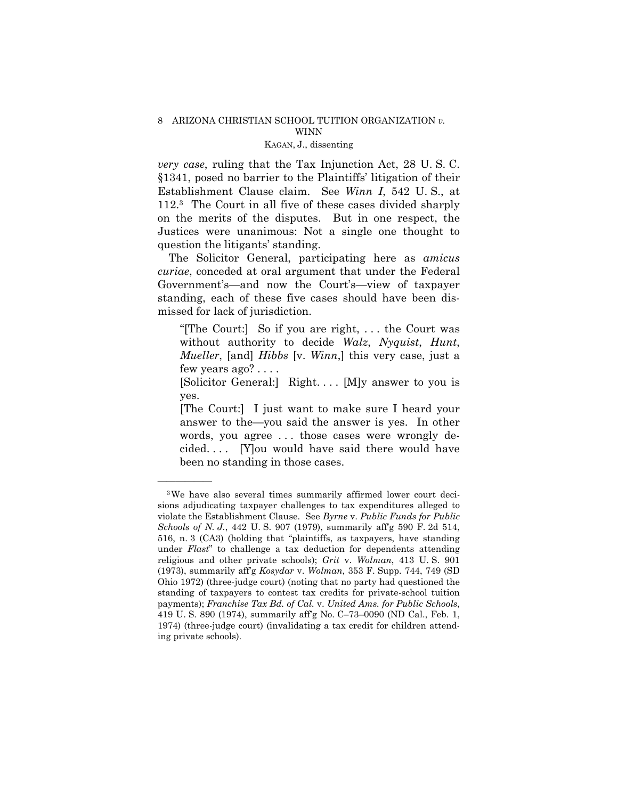*very case*, ruling that the Tax Injunction Act, 28 U. S. C. §1341, posed no barrier to the Plaintiffs' litigation of their Establishment Clause claim. See *Winn I*, 542 U. S., at 112.3 The Court in all five of these cases divided sharply on the merits of the disputes. But in one respect, the Justices were unanimous: Not a single one thought to question the litigants' standing.

The Solicitor General, participating here as *amicus curiae*, conceded at oral argument that under the Federal Government's—and now the Court's—view of taxpayer standing, each of these five cases should have been dismissed for lack of jurisdiction.

"[The Court:] So if you are right, . . . the Court was without authority to decide *Walz*, *Nyquist*, *Hunt*, *Mueller*, [and] *Hibbs* [v. *Winn*,] this very case, just a few years ago? . . . .

[Solicitor General:] Right. . . . [M]y answer to you is yes.

[The Court:] I just want to make sure I heard your answer to the—you said the answer is yes. In other words, you agree . . . those cases were wrongly decided. . . . [Y]ou would have said there would have been no standing in those cases.

<sup>3</sup>We have also several times summarily affirmed lower court decisions adjudicating taxpayer challenges to tax expenditures alleged to violate the Establishment Clause. See *Byrne* v. *Public Funds for Public Schools of N. J.*, 442 U. S. 907 (1979), summarily aff'g 590 F. 2d 514, 516, n. 3 (CA3) (holding that "plaintiffs, as taxpayers, have standing under *Flast*" to challenge a tax deduction for dependents attending religious and other private schools); *Grit* v. *Wolman*, 413 U. S. 901 (1973), summarily aff'g *Kosydar* v. *Wolman*, 353 F. Supp. 744, 749 (SD Ohio 1972) (three-judge court) (noting that no party had questioned the standing of taxpayers to contest tax credits for private-school tuition payments); *Franchise Tax Bd. of Cal.* v. *United Ams. for Public Schools*, 419 U. S. 890 (1974), summarily aff'g No. C–73–0090 (ND Cal., Feb. 1, 1974) (three-judge court) (invalidating a tax credit for children attending private schools).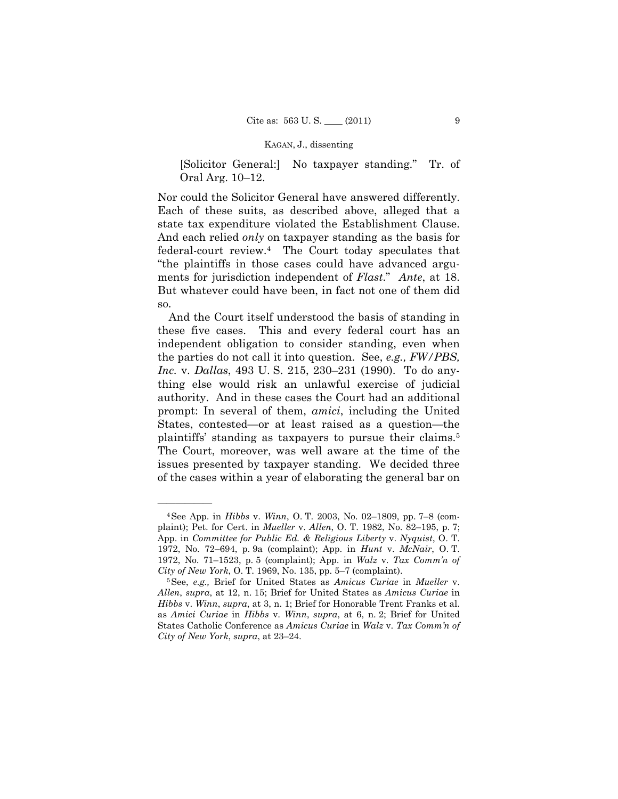[Solicitor General:] No taxpayer standing." Tr. of Oral Arg. 10–12.

Nor could the Solicitor General have answered differently. Each of these suits, as described above, alleged that a state tax expenditure violated the Establishment Clause. And each relied *only* on taxpayer standing as the basis for federal-court review.4 The Court today speculates that "the plaintiffs in those cases could have advanced arguments for jurisdiction independent of *Flast*." *Ante*, at 18. But whatever could have been, in fact not one of them did so.

And the Court itself understood the basis of standing in these five cases. This and every federal court has an independent obligation to consider standing, even when the parties do not call it into question. See, *e.g., FW/PBS, Inc.* v. *Dallas*, 493 U. S. 215, 230–231 (1990). To do anything else would risk an unlawful exercise of judicial authority. And in these cases the Court had an additional prompt: In several of them, *amici*, including the United States, contested—or at least raised as a question—the plaintiffs' standing as taxpayers to pursue their claims.5 The Court, moreover, was well aware at the time of the issues presented by taxpayer standing. We decided three of the cases within a year of elaborating the general bar on

<sup>4</sup>See App. in *Hibbs* v. *Winn*, O. T. 2003, No. 02–1809, pp. 7–8 (complaint); Pet. for Cert. in *Mueller* v. *Allen*, O. T. 1982, No. 82–195, p. 7; App. in *Committee for Public Ed. & Religious Liberty* v. *Nyquist*, O. T. 1972, No. 72–694, p. 9a (complaint); App. in *Hunt* v. *McNair*, O. T. 1972, No. 71–1523, p. 5 (complaint); App. in *Walz* v. *Tax Comm'n of City of New York*, O. T. 1969, No. 135, pp. 5–7 (complaint). 5See, *e.g.,* Brief for United States as *Amicus Curiae* in *Mueller* v.

*Allen*, *supra*, at 12, n. 15; Brief for United States as *Amicus Curiae* in *Hibbs* v. *Winn*, *supra*, at 3, n. 1; Brief for Honorable Trent Franks et al. as *Amici Curiae* in *Hibbs* v. *Winn*, *supra*, at 6, n. 2; Brief for United States Catholic Conference as *Amicus Curiae* in *Walz* v. *Tax Comm'n of City of New York*, *supra*, at 23–24.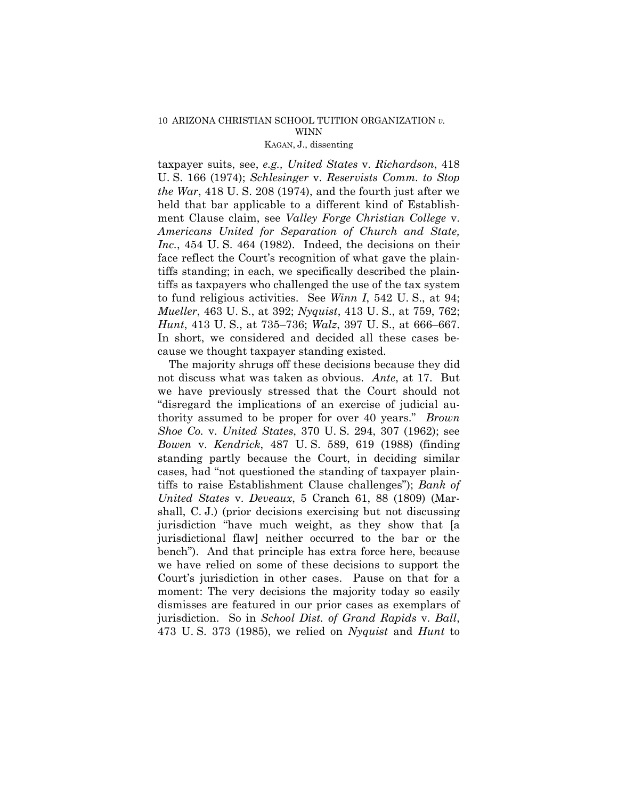# KAGAN, J., dissenting

taxpayer suits, see, *e.g., United States* v. *Richardson*, 418 U. S. 166 (1974); *Schlesinger* v. *Reservists Comm. to Stop the War*, 418 U. S. 208 (1974), and the fourth just after we held that bar applicable to a different kind of Establishment Clause claim, see *Valley Forge Christian College* v. *Americans United for Separation of Church and State, Inc.*, 454 U. S. 464 (1982). Indeed, the decisions on their face reflect the Court's recognition of what gave the plaintiffs standing; in each, we specifically described the plaintiffs as taxpayers who challenged the use of the tax system to fund religious activities. See *Winn I*, 542 U. S., at 94; *Mueller*, 463 U. S., at 392; *Nyquist*, 413 U. S., at 759, 762; *Hunt*, 413 U. S., at 735–736; *Walz*, 397 U. S., at 666–667. In short, we considered and decided all these cases because we thought taxpayer standing existed.

The majority shrugs off these decisions because they did not discuss what was taken as obvious. *Ante*, at 17. But we have previously stressed that the Court should not "disregard the implications of an exercise of judicial authority assumed to be proper for over 40 years." *Brown Shoe Co.* v. *United States*, 370 U. S. 294, 307 (1962); see *Bowen* v. *Kendrick*, 487 U. S. 589, 619 (1988) (finding standing partly because the Court, in deciding similar cases, had "not questioned the standing of taxpayer plaintiffs to raise Establishment Clause challenges"); *Bank of United States* v. *Deveaux*, 5 Cranch 61, 88 (1809) (Marshall, C. J.) (prior decisions exercising but not discussing jurisdiction "have much weight, as they show that [a jurisdictional flaw] neither occurred to the bar or the bench"). And that principle has extra force here, because we have relied on some of these decisions to support the Court's jurisdiction in other cases. Pause on that for a moment: The very decisions the majority today so easily dismisses are featured in our prior cases as exemplars of jurisdiction. So in *School Dist. of Grand Rapids* v. *Ball*, 473 U. S. 373 (1985), we relied on *Nyquist* and *Hunt* to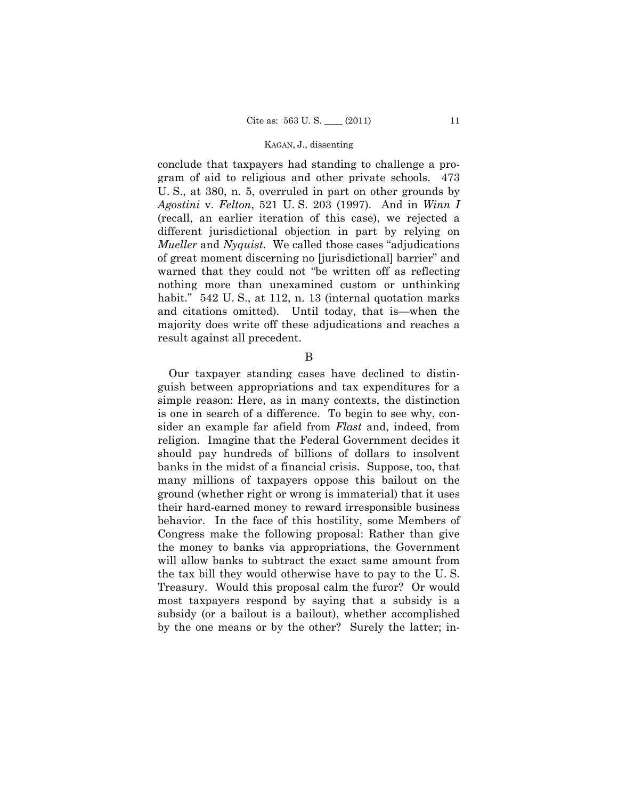conclude that taxpayers had standing to challenge a program of aid to religious and other private schools. 473 U. S., at 380, n. 5, overruled in part on other grounds by *Agostini* v. *Felton*, 521 U. S. 203 (1997). And in *Winn I*  (recall, an earlier iteration of this case), we rejected a different jurisdictional objection in part by relying on *Mueller* and *Nyquist*. We called those cases "adjudications of great moment discerning no [jurisdictional] barrier" and warned that they could not "be written off as reflecting nothing more than unexamined custom or unthinking habit." 542 U.S., at 112, n. 13 (internal quotation marks and citations omitted). Until today, that is—when the majority does write off these adjudications and reaches a result against all precedent.

#### B

Our taxpayer standing cases have declined to distinguish between appropriations and tax expenditures for a simple reason: Here, as in many contexts, the distinction is one in search of a difference. To begin to see why, consider an example far afield from *Flast* and, indeed, from religion. Imagine that the Federal Government decides it should pay hundreds of billions of dollars to insolvent banks in the midst of a financial crisis. Suppose, too, that many millions of taxpayers oppose this bailout on the ground (whether right or wrong is immaterial) that it uses their hard-earned money to reward irresponsible business behavior. In the face of this hostility, some Members of Congress make the following proposal: Rather than give the money to banks via appropriations, the Government will allow banks to subtract the exact same amount from the tax bill they would otherwise have to pay to the U. S. Treasury. Would this proposal calm the furor? Or would most taxpayers respond by saying that a subsidy is a subsidy (or a bailout is a bailout), whether accomplished by the one means or by the other? Surely the latter; in-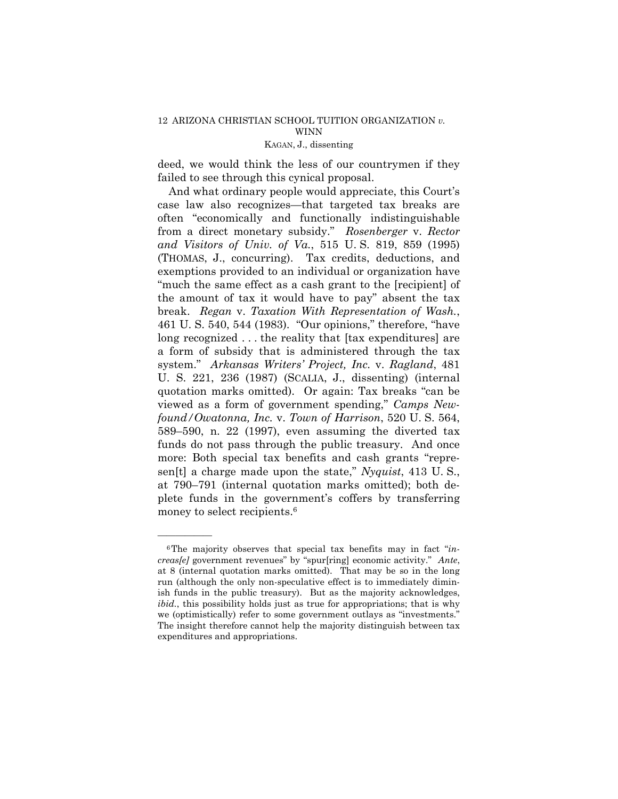# KAGAN, J., dissenting

deed, we would think the less of our countrymen if they failed to see through this cynical proposal.

And what ordinary people would appreciate, this Court's case law also recognizes—that targeted tax breaks are often "economically and functionally indistinguishable from a direct monetary subsidy." *Rosenberger* v. *Rector and Visitors of Univ. of Va.*, 515 U. S. 819, 859 (1995) (THOMAS, J., concurring). Tax credits, deductions, and exemptions provided to an individual or organization have "much the same effect as a cash grant to the [recipient] of the amount of tax it would have to pay" absent the tax break. *Regan* v. *Taxation With Representation of Wash.*, 461 U. S. 540, 544 (1983). "Our opinions," therefore, "have long recognized . . . the reality that [tax expenditures] are a form of subsidy that is administered through the tax system." *Arkansas Writers' Project, Inc.* v. *Ragland*, 481 U. S. 221, 236 (1987) (SCALIA, J., dissenting) (internal quotation marks omitted). Or again: Tax breaks "can be viewed as a form of government spending," *Camps Newfound/Owatonna, Inc.* v. *Town of Harrison*, 520 U. S. 564, 589–590, n. 22 (1997), even assuming the diverted tax funds do not pass through the public treasury. And once more: Both special tax benefits and cash grants "represen[t] a charge made upon the state," *Nyquist*, 413 U. S., at 790–791 (internal quotation marks omitted); both deplete funds in the government's coffers by transferring money to select recipients.<sup>6</sup>

<sup>6</sup>The majority observes that special tax benefits may in fact "*increas[e]* government revenues" by "spur[ring] economic activity." *Ante*, at 8 (internal quotation marks omitted). That may be so in the long run (although the only non-speculative effect is to immediately diminish funds in the public treasury). But as the majority acknowledges, *ibid.*, this possibility holds just as true for appropriations; that is why we (optimistically) refer to some government outlays as "investments." The insight therefore cannot help the majority distinguish between tax expenditures and appropriations.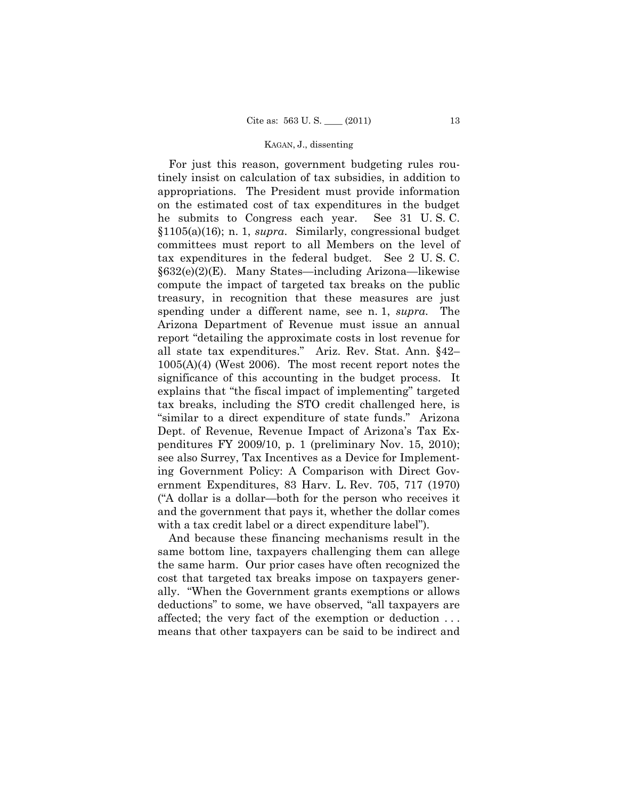For just this reason, government budgeting rules routinely insist on calculation of tax subsidies, in addition to appropriations. The President must provide information on the estimated cost of tax expenditures in the budget he submits to Congress each year. See 31 U. S. C. §1105(a)(16); n. 1, *supra*. Similarly, congressional budget committees must report to all Members on the level of tax expenditures in the federal budget. See 2 U. S. C. §632(e)(2)(E). Many States—including Arizona—likewise compute the impact of targeted tax breaks on the public treasury, in recognition that these measures are just spending under a different name, see n. 1, *supra*. The Arizona Department of Revenue must issue an annual report "detailing the approximate costs in lost revenue for all state tax expenditures." Ariz. Rev. Stat. Ann. §42– 1005(A)(4) (West 2006). The most recent report notes the significance of this accounting in the budget process. It explains that "the fiscal impact of implementing" targeted tax breaks, including the STO credit challenged here, is "similar to a direct expenditure of state funds." Arizona Dept. of Revenue, Revenue Impact of Arizona's Tax Expenditures FY 2009/10, p. 1 (preliminary Nov. 15, 2010); see also Surrey, Tax Incentives as a Device for Implementing Government Policy: A Comparison with Direct Government Expenditures, 83 Harv. L. Rev. 705, 717 (1970) ("A dollar is a dollar—both for the person who receives it and the government that pays it, whether the dollar comes with a tax credit label or a direct expenditure label").

And because these financing mechanisms result in the same bottom line, taxpayers challenging them can allege the same harm. Our prior cases have often recognized the cost that targeted tax breaks impose on taxpayers generally. "When the Government grants exemptions or allows deductions" to some, we have observed, "all taxpayers are affected; the very fact of the exemption or deduction . . . means that other taxpayers can be said to be indirect and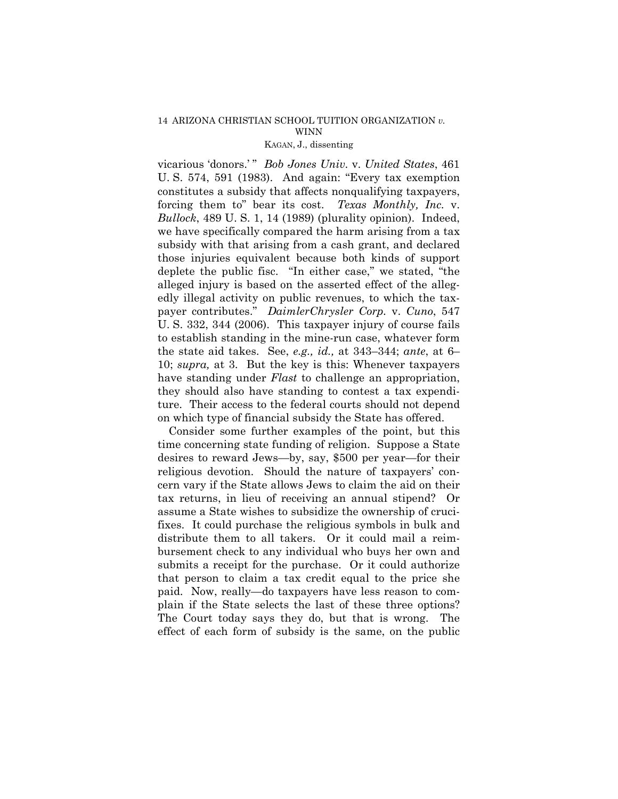#### 14 ARIZONA CHRISTIAN SCHOOL TUITION ORGANIZATION *v.*  WINN KAGAN, J., dissenting

vicarious 'donors.' " *Bob Jones Univ.* v. *United States*, 461 U. S. 574, 591 (1983). And again: "Every tax exemption constitutes a subsidy that affects nonqualifying taxpayers, forcing them to" bear its cost. *Texas Monthly, Inc.* v. *Bullock*, 489 U. S. 1, 14 (1989) (plurality opinion). Indeed, we have specifically compared the harm arising from a tax subsidy with that arising from a cash grant, and declared those injuries equivalent because both kinds of support deplete the public fisc. "In either case," we stated, "the alleged injury is based on the asserted effect of the allegedly illegal activity on public revenues, to which the taxpayer contributes." *DaimlerChrysler Corp.* v. *Cuno*, 547 U. S. 332, 344 (2006). This taxpayer injury of course fails to establish standing in the mine-run case, whatever form the state aid takes. See, *e.g., id.,* at 343–344; *ante*, at 6– 10; *supra,* at 3. But the key is this: Whenever taxpayers have standing under *Flast* to challenge an appropriation, they should also have standing to contest a tax expenditure. Their access to the federal courts should not depend on which type of financial subsidy the State has offered.

Consider some further examples of the point, but this time concerning state funding of religion. Suppose a State desires to reward Jews—by, say, \$500 per year—for their religious devotion. Should the nature of taxpayers' concern vary if the State allows Jews to claim the aid on their tax returns, in lieu of receiving an annual stipend? Or assume a State wishes to subsidize the ownership of crucifixes. It could purchase the religious symbols in bulk and distribute them to all takers. Or it could mail a reimbursement check to any individual who buys her own and submits a receipt for the purchase. Or it could authorize that person to claim a tax credit equal to the price she paid. Now, really—do taxpayers have less reason to complain if the State selects the last of these three options? The Court today says they do, but that is wrong. The effect of each form of subsidy is the same, on the public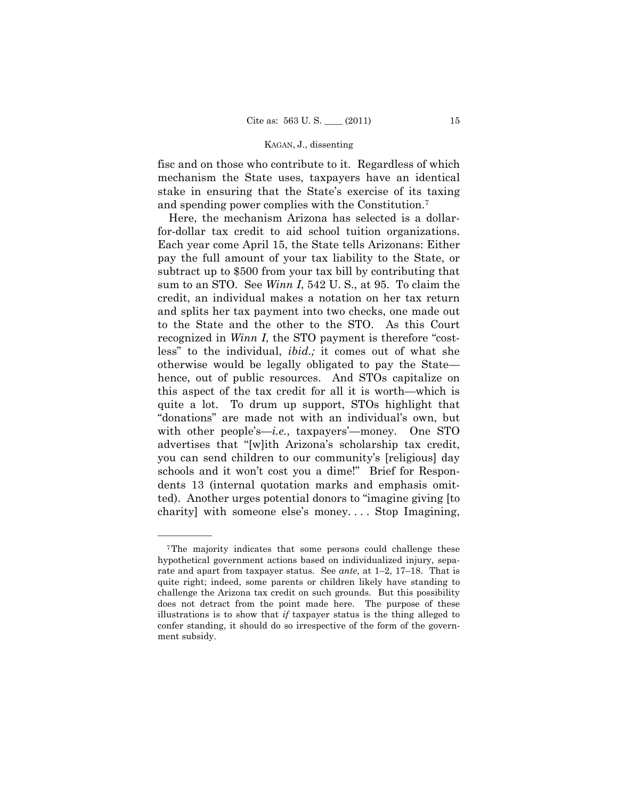fisc and on those who contribute to it. Regardless of which mechanism the State uses, taxpayers have an identical stake in ensuring that the State's exercise of its taxing and spending power complies with the Constitution.7

Here, the mechanism Arizona has selected is a dollarfor-dollar tax credit to aid school tuition organizations. Each year come April 15, the State tells Arizonans: Either pay the full amount of your tax liability to the State, or subtract up to \$500 from your tax bill by contributing that sum to an STO. See *Winn I*, 542 U. S., at 95. To claim the credit, an individual makes a notation on her tax return and splits her tax payment into two checks, one made out to the State and the other to the STO. As this Court recognized in *Winn I*, the STO payment is therefore "costless" to the individual, *ibid.;* it comes out of what she otherwise would be legally obligated to pay the State hence, out of public resources. And STOs capitalize on this aspect of the tax credit for all it is worth—which is quite a lot. To drum up support, STOs highlight that "donations" are made not with an individual's own, but with other people's—*i.e.*, taxpayers'—money. One STO advertises that "[w]ith Arizona's scholarship tax credit, you can send children to our community's [religious] day schools and it won't cost you a dime!" Brief for Respondents 13 (internal quotation marks and emphasis omitted). Another urges potential donors to "imagine giving [to charity] with someone else's money. . . . Stop Imagining,

<sup>7</sup>The majority indicates that some persons could challenge these hypothetical government actions based on individualized injury, separate and apart from taxpayer status. See *ante*, at 1–2, 17–18. That is quite right; indeed, some parents or children likely have standing to challenge the Arizona tax credit on such grounds. But this possibility does not detract from the point made here. The purpose of these illustrations is to show that *if* taxpayer status is the thing alleged to confer standing, it should do so irrespective of the form of the government subsidy.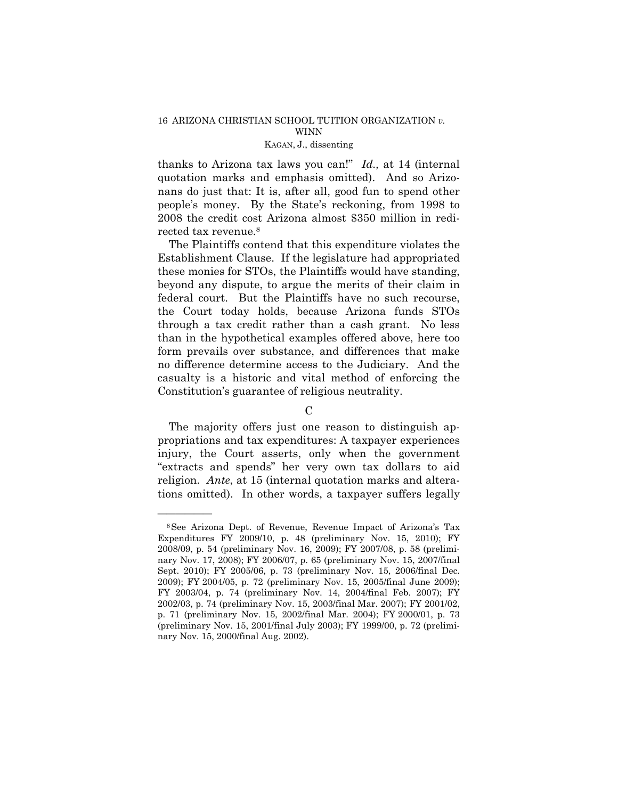# KAGAN, J., dissenting

thanks to Arizona tax laws you can!" *Id.,* at 14 (internal quotation marks and emphasis omitted). And so Arizonans do just that: It is, after all, good fun to spend other people's money. By the State's reckoning, from 1998 to 2008 the credit cost Arizona almost \$350 million in redirected tax revenue.<sup>8</sup>

The Plaintiffs contend that this expenditure violates the Establishment Clause. If the legislature had appropriated these monies for STOs, the Plaintiffs would have standing, beyond any dispute, to argue the merits of their claim in federal court. But the Plaintiffs have no such recourse, the Court today holds, because Arizona funds STOs through a tax credit rather than a cash grant. No less than in the hypothetical examples offered above, here too form prevails over substance, and differences that make no difference determine access to the Judiciary. And the casualty is a historic and vital method of enforcing the Constitution's guarantee of religious neutrality.

 $\mathcal{C}$ 

The majority offers just one reason to distinguish appropriations and tax expenditures: A taxpayer experiences injury, the Court asserts, only when the government "extracts and spends" her very own tax dollars to aid religion. *Ante*, at 15 (internal quotation marks and alterations omitted). In other words, a taxpayer suffers legally

<sup>8</sup>See Arizona Dept. of Revenue, Revenue Impact of Arizona's Tax Expenditures FY 2009/10, p. 48 (preliminary Nov. 15, 2010); FY 2008/09, p. 54 (preliminary Nov. 16, 2009); FY 2007/08, p. 58 (preliminary Nov. 17, 2008); FY 2006/07, p. 65 (preliminary Nov. 15, 2007/final Sept. 2010); FY 2005/06, p. 73 (preliminary Nov. 15, 2006/final Dec. 2009); FY 2004/05, p. 72 (preliminary Nov. 15, 2005/final June 2009); FY 2003/04, p. 74 (preliminary Nov. 14, 2004/final Feb. 2007); FY 2002/03, p. 74 (preliminary Nov. 15, 2003/final Mar. 2007); FY 2001/02, p. 71 (preliminary Nov. 15, 2002/final Mar. 2004); FY 2000/01, p. 73 (preliminary Nov. 15, 2001/final July 2003); FY 1999/00, p. 72 (preliminary Nov. 15, 2000/final Aug. 2002).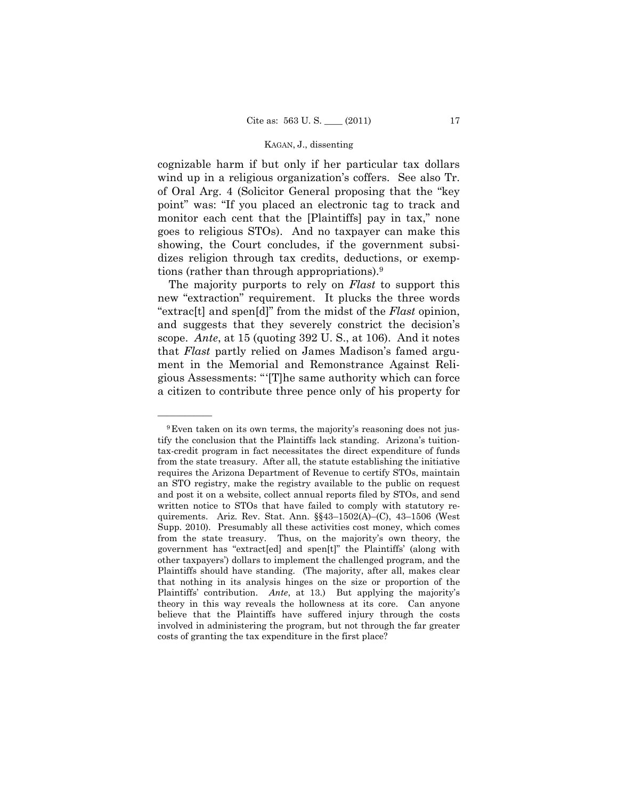cognizable harm if but only if her particular tax dollars wind up in a religious organization's coffers. See also Tr. of Oral Arg. 4 (Solicitor General proposing that the "key point" was: "If you placed an electronic tag to track and monitor each cent that the [Plaintiffs] pay in tax," none goes to religious STOs). And no taxpayer can make this showing, the Court concludes, if the government subsidizes religion through tax credits, deductions, or exemptions (rather than through appropriations).9

The majority purports to rely on *Flast* to support this new "extraction" requirement. It plucks the three words "extrac[t] and spen[d]" from the midst of the *Flast* opinion, and suggests that they severely constrict the decision's scope. *Ante*, at 15 (quoting 392 U. S., at 106). And it notes that *Flast* partly relied on James Madison's famed argument in the Memorial and Remonstrance Against Religious Assessments: "'[T]he same authority which can force a citizen to contribute three pence only of his property for

<sup>9</sup>Even taken on its own terms, the majority's reasoning does not justify the conclusion that the Plaintiffs lack standing. Arizona's tuitiontax-credit program in fact necessitates the direct expenditure of funds from the state treasury. After all, the statute establishing the initiative requires the Arizona Department of Revenue to certify STOs, maintain an STO registry, make the registry available to the public on request and post it on a website, collect annual reports filed by STOs, and send written notice to STOs that have failed to comply with statutory requirements. Ariz. Rev. Stat. Ann. §§43–1502(A)–(C), 43–1506 (West Supp. 2010). Presumably all these activities cost money, which comes from the state treasury. Thus, on the majority's own theory, the government has "extract[ed] and spen[t]" the Plaintiffs' (along with other taxpayers') dollars to implement the challenged program, and the Plaintiffs should have standing. (The majority, after all, makes clear that nothing in its analysis hinges on the size or proportion of the Plaintiffs' contribution. *Ante*, at 13.) But applying the majority's theory in this way reveals the hollowness at its core. Can anyone believe that the Plaintiffs have suffered injury through the costs involved in administering the program, but not through the far greater costs of granting the tax expenditure in the first place?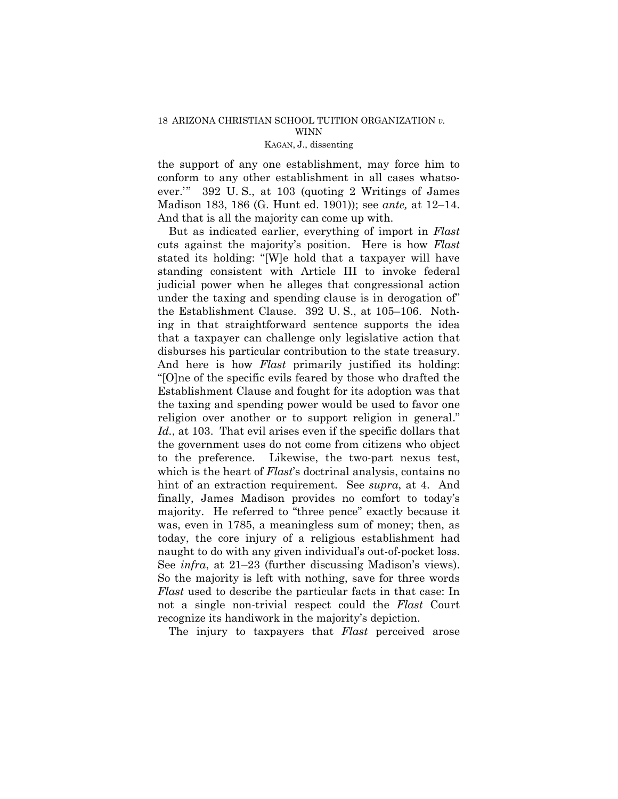## KAGAN, J., dissenting

the support of any one establishment, may force him to conform to any other establishment in all cases whatsoever.'" 392 U. S., at 103 (quoting 2 Writings of James Madison 183, 186 (G. Hunt ed. 1901)); see *ante,* at 12–14. And that is all the majority can come up with.

But as indicated earlier, everything of import in *Flast*  cuts against the majority's position. Here is how *Flast*  stated its holding: "[W]e hold that a taxpayer will have standing consistent with Article III to invoke federal judicial power when he alleges that congressional action under the taxing and spending clause is in derogation of" the Establishment Clause. 392 U. S., at 105–106. Nothing in that straightforward sentence supports the idea that a taxpayer can challenge only legislative action that disburses his particular contribution to the state treasury. And here is how *Flast* primarily justified its holding: "[O]ne of the specific evils feared by those who drafted the Establishment Clause and fought for its adoption was that the taxing and spending power would be used to favor one religion over another or to support religion in general." *Id.*, at 103. That evil arises even if the specific dollars that the government uses do not come from citizens who object to the preference. Likewise, the two-part nexus test, which is the heart of *Flast*'s doctrinal analysis, contains no hint of an extraction requirement. See *supra*, at 4. And finally, James Madison provides no comfort to today's majority. He referred to "three pence" exactly because it was, even in 1785, a meaningless sum of money; then, as today, the core injury of a religious establishment had naught to do with any given individual's out-of-pocket loss. See *infra*, at 21–23 (further discussing Madison's views). So the majority is left with nothing, save for three words *Flast* used to describe the particular facts in that case: In not a single non-trivial respect could the *Flast* Court recognize its handiwork in the majority's depiction.

The injury to taxpayers that *Flast* perceived arose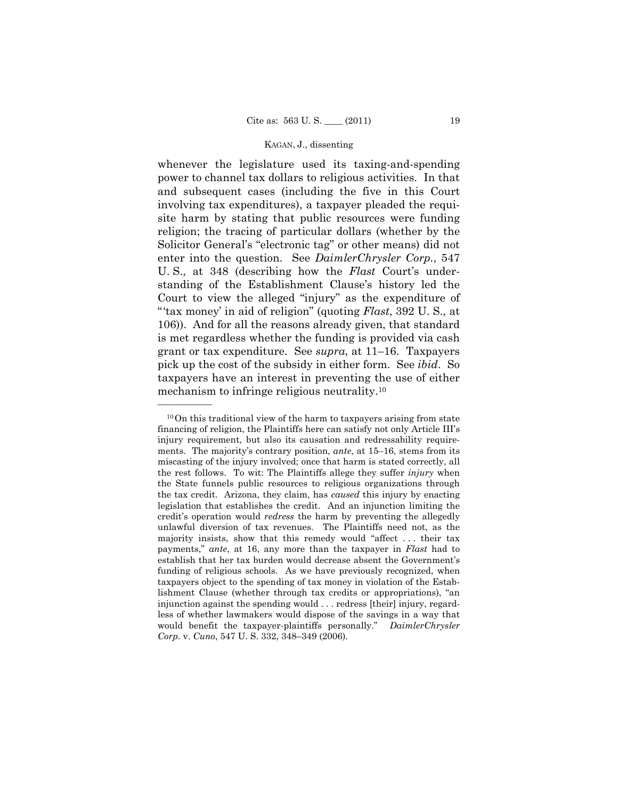whenever the legislature used its taxing-and-spending power to channel tax dollars to religious activities. In that and subsequent cases (including the five in this Court involving tax expenditures), a taxpayer pleaded the requisite harm by stating that public resources were funding religion; the tracing of particular dollars (whether by the Solicitor General's "electronic tag" or other means) did not enter into the question. See *DaimlerChrysler Corp.*, 547 U. S., at 348 (describing how the *Flast* Court's understanding of the Establishment Clause's history led the Court to view the alleged "injury" as the expenditure of "'tax money' in aid of religion" (quoting *Flast*, 392 U. S., at 106)). And for all the reasons already given, that standard is met regardless whether the funding is provided via cash grant or tax expenditure. See *supra*, at 11–16. Taxpayers pick up the cost of the subsidy in either form. See *ibid*. So taxpayers have an interest in preventing the use of either mechanism to infringe religious neutrality.10

 $10$ On this traditional view of the harm to taxpayers arising from state financing of religion, the Plaintiffs here can satisfy not only Article III's injury requirement, but also its causation and redressability requirements. The majority's contrary position, *ante*, at 15–16, stems from its miscasting of the injury involved; once that harm is stated correctly, all the rest follows. To wit: The Plaintiffs allege they suffer *injury* when the State funnels public resources to religious organizations through the tax credit. Arizona, they claim, has *caused* this injury by enacting legislation that establishes the credit. And an injunction limiting the credit's operation would *redress* the harm by preventing the allegedly unlawful diversion of tax revenues. The Plaintiffs need not, as the majority insists, show that this remedy would "affect . . . their tax payments," *ante*, at 16, any more than the taxpayer in *Flast* had to establish that her tax burden would decrease absent the Government's funding of religious schools. As we have previously recognized, when taxpayers object to the spending of tax money in violation of the Establishment Clause (whether through tax credits or appropriations), "an injunction against the spending would . . . redress [their] injury, regardless of whether lawmakers would dispose of the savings in a way that would benefit the taxpayer-plaintiffs personally." *DaimlerChrysler Corp.* v. *Cuno*, 547 U. S. 332, 348–349 (2006).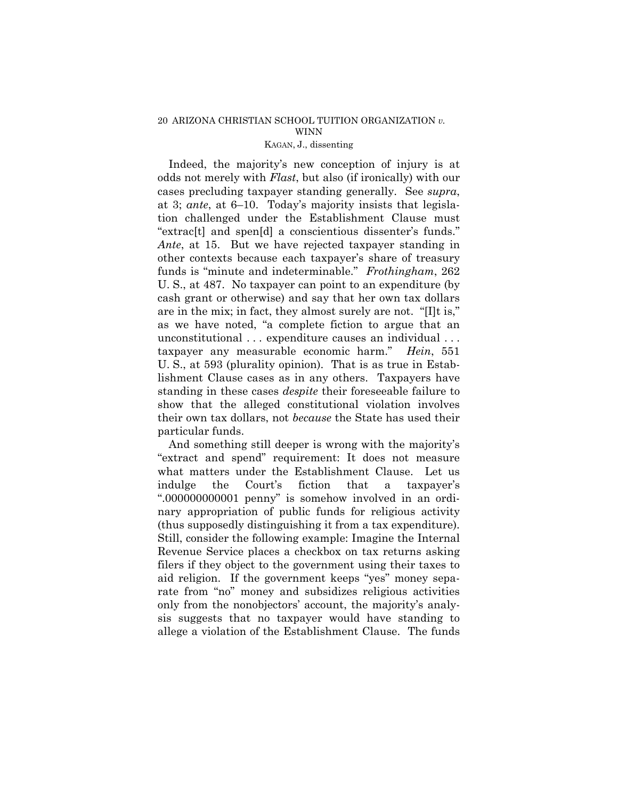# KAGAN, J., dissenting

Indeed, the majority's new conception of injury is at odds not merely with *Flast*, but also (if ironically) with our cases precluding taxpayer standing generally. See *supra*, at 3; *ante*, at 6–10. Today's majority insists that legislation challenged under the Establishment Clause must "extrac[t] and spen[d] a conscientious dissenter's funds." *Ante*, at 15. But we have rejected taxpayer standing in other contexts because each taxpayer's share of treasury funds is "minute and indeterminable." *Frothingham*, 262 U. S., at 487. No taxpayer can point to an expenditure (by cash grant or otherwise) and say that her own tax dollars are in the mix; in fact, they almost surely are not. "[I]t is," as we have noted, "a complete fiction to argue that an unconstitutional . . . expenditure causes an individual . . . taxpayer any measurable economic harm." *Hein*, 551 U. S., at 593 (plurality opinion). That is as true in Establishment Clause cases as in any others. Taxpayers have standing in these cases *despite* their foreseeable failure to show that the alleged constitutional violation involves their own tax dollars, not *because* the State has used their particular funds.

And something still deeper is wrong with the majority's "extract and spend" requirement: It does not measure what matters under the Establishment Clause. Let us indulge the Court's fiction that a taxpayer's ".000000000001 penny" is somehow involved in an ordinary appropriation of public funds for religious activity (thus supposedly distinguishing it from a tax expenditure). Still, consider the following example: Imagine the Internal Revenue Service places a checkbox on tax returns asking filers if they object to the government using their taxes to aid religion. If the government keeps "yes" money separate from "no" money and subsidizes religious activities only from the nonobjectors' account, the majority's analysis suggests that no taxpayer would have standing to allege a violation of the Establishment Clause. The funds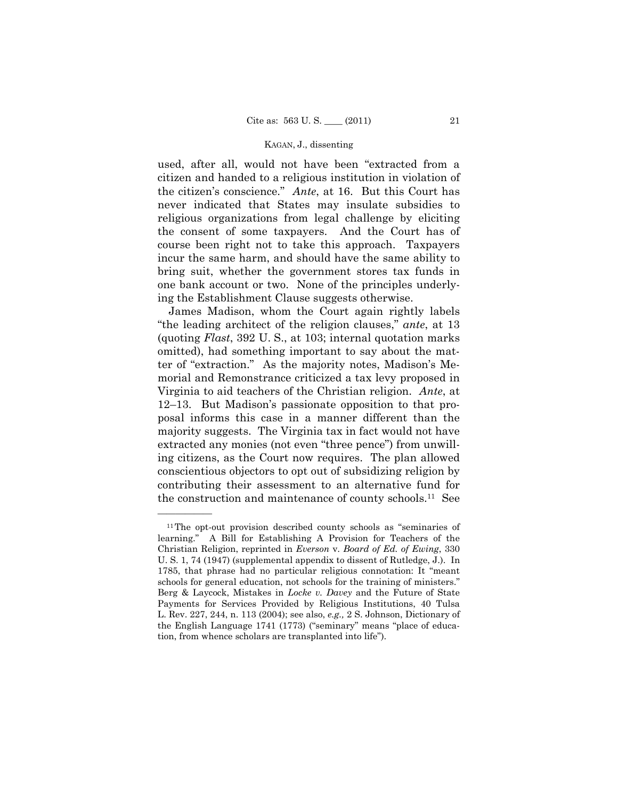used, after all, would not have been "extracted from a citizen and handed to a religious institution in violation of the citizen's conscience." *Ante*, at 16. But this Court has never indicated that States may insulate subsidies to religious organizations from legal challenge by eliciting the consent of some taxpayers. And the Court has of course been right not to take this approach. Taxpayers incur the same harm, and should have the same ability to bring suit, whether the government stores tax funds in one bank account or two. None of the principles underlying the Establishment Clause suggests otherwise.

James Madison, whom the Court again rightly labels "the leading architect of the religion clauses," *ante*, at 13 (quoting *Flast*, 392 U. S., at 103; internal quotation marks omitted), had something important to say about the matter of "extraction." As the majority notes, Madison's Memorial and Remonstrance criticized a tax levy proposed in Virginia to aid teachers of the Christian religion. *Ante*, at 12–13. But Madison's passionate opposition to that proposal informs this case in a manner different than the majority suggests. The Virginia tax in fact would not have extracted any monies (not even "three pence") from unwilling citizens, as the Court now requires. The plan allowed conscientious objectors to opt out of subsidizing religion by contributing their assessment to an alternative fund for the construction and maintenance of county schools.11 See

<sup>11</sup>The opt-out provision described county schools as "seminaries of learning." A Bill for Establishing A Provision for Teachers of the Christian Religion, reprinted in *Everson* v. *Board of Ed. of Ewing*, 330 U. S. 1, 74 (1947) (supplemental appendix to dissent of Rutledge, J.). In 1785, that phrase had no particular religious connotation: It "meant schools for general education, not schools for the training of ministers." Berg & Laycock, Mistakes in *Locke v. Davey* and the Future of State Payments for Services Provided by Religious Institutions, 40 Tulsa L. Rev. 227, 244, n. 113 (2004); see also, *e.g.,* 2 S. Johnson, Dictionary of the English Language 1741 (1773) ("seminary" means "place of education, from whence scholars are transplanted into life").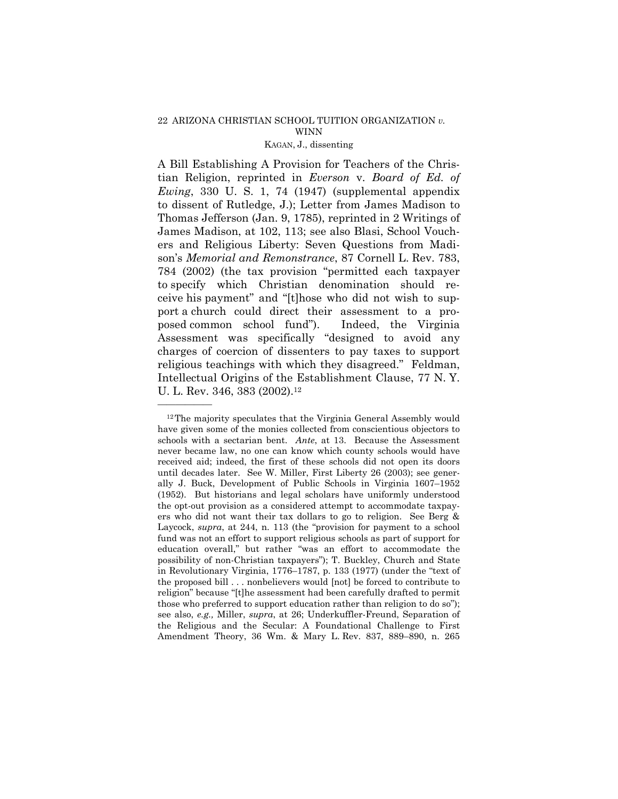## 22 ARIZONA CHRISTIAN SCHOOL TUITION ORGANIZATION *v.*  WINN KAGAN, J., dissenting

# A Bill Establishing A Provision for Teachers of the Christian Religion, reprinted in *Everson* v. *Board of Ed. of Ewing*, 330 U. S. 1, 74 (1947) (supplemental appendix to dissent of Rutledge, J.); Letter from James Madison to

Thomas Jefferson (Jan. 9, 1785), reprinted in 2 Writings of James Madison, at 102, 113; see also Blasi, School Vouchers and Religious Liberty: Seven Questions from Madison's *Memorial and Remonstrance*, 87 Cornell L. Rev. 783, 784 (2002) (the tax provision "permitted each taxpayer to specify which Christian denomination should receive his payment" and "[t]hose who did not wish to support a church could direct their assessment to a proposed common school fund"). Indeed, the Virginia Assessment was specifically "designed to avoid any charges of coercion of dissenters to pay taxes to support religious teachings with which they disagreed." Feldman, Intellectual Origins of the Establishment Clause, 77 N. Y. U. L. Rev. 346, 383 (2002).<sup>12</sup>

<sup>&</sup>lt;sup>12</sup>The majority speculates that the Virginia General Assembly would have given some of the monies collected from conscientious objectors to schools with a sectarian bent. *Ante*, at 13. Because the Assessment never became law, no one can know which county schools would have received aid; indeed, the first of these schools did not open its doors until decades later. See W. Miller, First Liberty 26 (2003); see generally J. Buck, Development of Public Schools in Virginia 1607–1952 (1952). But historians and legal scholars have uniformly understood the opt-out provision as a considered attempt to accommodate taxpayers who did not want their tax dollars to go to religion. See Berg & Laycock, *supra*, at 244, n. 113 (the "provision for payment to a school fund was not an effort to support religious schools as part of support for education overall," but rather "was an effort to accommodate the possibility of non-Christian taxpayers"); T. Buckley, Church and State in Revolutionary Virginia, 1776–1787, p. 133 (1977) (under the "text of the proposed bill . . . nonbelievers would [not] be forced to contribute to religion" because "[t]he assessment had been carefully drafted to permit those who preferred to support education rather than religion to do so"); see also, *e.g.,* Miller, *supra*, at 26; Underkuffler-Freund, Separation of the Religious and the Secular: A Foundational Challenge to First Amendment Theory, 36 Wm. & Mary L. Rev. 837, 889–890, n. 265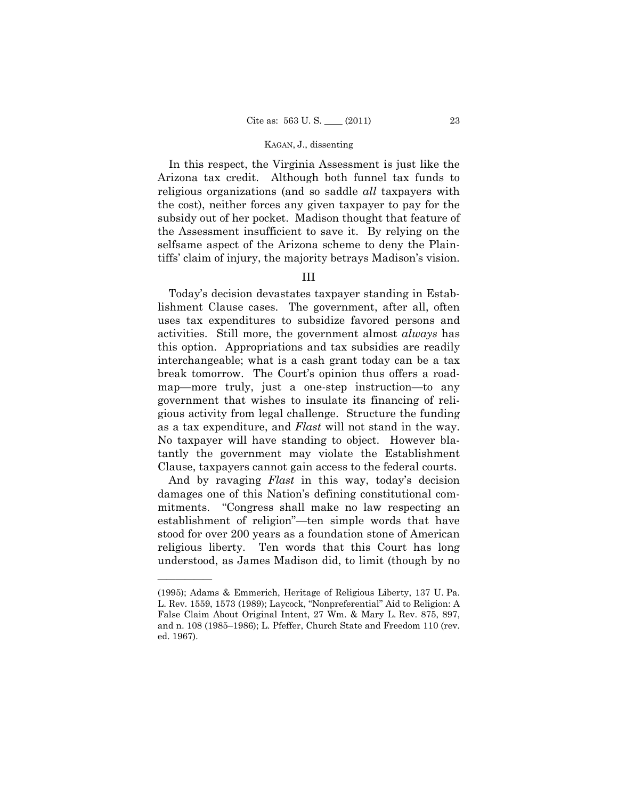In this respect, the Virginia Assessment is just like the Arizona tax credit. Although both funnel tax funds to religious organizations (and so saddle *all* taxpayers with the cost), neither forces any given taxpayer to pay for the subsidy out of her pocket. Madison thought that feature of the Assessment insufficient to save it. By relying on the selfsame aspect of the Arizona scheme to deny the Plaintiffs' claim of injury, the majority betrays Madison's vision.

# III

Today's decision devastates taxpayer standing in Establishment Clause cases. The government, after all, often uses tax expenditures to subsidize favored persons and activities. Still more, the government almost *always* has this option. Appropriations and tax subsidies are readily interchangeable; what is a cash grant today can be a tax break tomorrow. The Court's opinion thus offers a roadmap—more truly, just a one-step instruction—to any government that wishes to insulate its financing of religious activity from legal challenge. Structure the funding as a tax expenditure, and *Flast* will not stand in the way. No taxpayer will have standing to object. However blatantly the government may violate the Establishment Clause, taxpayers cannot gain access to the federal courts.

And by ravaging *Flast* in this way, today's decision damages one of this Nation's defining constitutional commitments. "Congress shall make no law respecting an establishment of religion"—ten simple words that have stood for over 200 years as a foundation stone of American religious liberty. Ten words that this Court has long understood, as James Madison did, to limit (though by no

<sup>(1995);</sup> Adams & Emmerich, Heritage of Religious Liberty, 137 U. Pa. L. Rev. 1559, 1573 (1989); Laycock, "Nonpreferential" Aid to Religion: A False Claim About Original Intent, 27 Wm. & Mary L. Rev. 875, 897, and n. 108 (1985–1986); L. Pfeffer, Church State and Freedom 110 (rev. ed. 1967).